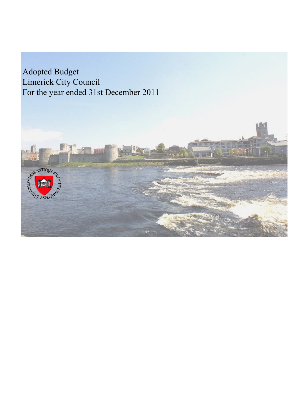Adopted Budget Limerick City Council For the year ended 31st December 2011

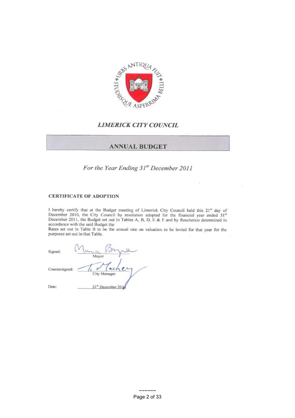

## **LIMERICK CITY COUNCIL**

## **ANNUAL BUDGET**

For the Year Ending  $31<sup>st</sup>$  December, 2011

out in Tables  $\mathbb{R}^n$ 

 $\epsilon$  the Budget meeting of Limeriak  $C$ in  $C$ Council by resolution adopted for accordance with the said Budget the

Rates set out in Table B to be the annual rate on valuation to be levied for that year for the purposes set out in that Table. **\***Manager/Secretary

| Signed:        | Mayor                          |
|----------------|--------------------------------|
| Countersigned: | achey<br>City Manager          |
| Date:          | 21 <sup>st</sup> December 2016 |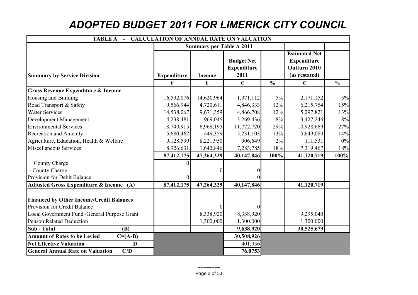## *ADOPTED BUDGET 2011 FOR LIMERICK CITY COUNCIL*

|                                                    | TABLE A - CALCULATION OF ANNUAL RATE ON VALUATION |                                 |                                                 |               |                                                                             |               |  |  |  |
|----------------------------------------------------|---------------------------------------------------|---------------------------------|-------------------------------------------------|---------------|-----------------------------------------------------------------------------|---------------|--|--|--|
|                                                    |                                                   | <b>Summary per Table A 2011</b> |                                                 |               |                                                                             |               |  |  |  |
| <b>Summary by Service Division</b>                 | <b>Expenditure</b>                                | <b>Income</b>                   | <b>Budget Net</b><br><b>Expenditure</b><br>2011 |               | <b>Estimated Net</b><br><b>Expenditure</b><br>Outturn 2010<br>(as restated) |               |  |  |  |
|                                                    | €                                                 | €                               | €                                               | $\frac{6}{6}$ | €                                                                           | $\frac{6}{6}$ |  |  |  |
| <b>Gross Revenue Expenditure &amp; Income</b>      |                                                   |                                 |                                                 |               |                                                                             |               |  |  |  |
| Housing and Building                               | 16,592,076                                        | 14,620,964                      | 1,971,112                                       | 5%            | 2,171,152                                                                   | $5\%$         |  |  |  |
| Road Transport & Safety                            | 9,566,944                                         | 4,720,611                       | 4,846,333                                       | 12%           | 6,215,754                                                                   | 15%           |  |  |  |
| <b>Water Services</b>                              | 14,538,067                                        | 9,671,359                       | 4,866,708                                       | 12%           | 5,297,821                                                                   | 13%           |  |  |  |
| Development Management                             | 4,238,481                                         | 969,045                         | 3,269,436                                       | 8%            | 3,427,246                                                                   | 8%            |  |  |  |
| <b>Environmental Services</b>                      | 18,740,915                                        | 6,968,195                       | 11,772,720                                      | 29%           | 10,928,669                                                                  | 27%           |  |  |  |
| <b>Recreation and Amenity</b>                      | 5,680,462                                         | 449,359                         | 5,231,103                                       | 13%           | 5,649,080                                                                   | 14%           |  |  |  |
| Agriculture, Education, Health & Welfare           | 9,128,599                                         | 8,221,950                       | 906,649                                         | $2\%$         | 111,531                                                                     | $0\%$         |  |  |  |
| <b>Miscellaneous Services</b>                      | 8,926,631                                         | 1,642,846                       | 7,283,785                                       | 18%           | 7,319,467                                                                   | 18%           |  |  |  |
|                                                    | 87,412,175                                        | 47,264,329                      | 40,147,846                                      | 100%          | 41,120,719                                                                  | 100%          |  |  |  |
| + County Charge                                    |                                                   |                                 |                                                 |               |                                                                             |               |  |  |  |
| - County Charge                                    |                                                   |                                 |                                                 |               |                                                                             |               |  |  |  |
| Provision for Debit Balance                        |                                                   |                                 |                                                 |               |                                                                             |               |  |  |  |
| Adjusted Gross Expenditure & Income (A)            | 87,412,175                                        | 47,264,329                      | 40,147,846                                      |               | 41,120,719                                                                  |               |  |  |  |
| <b>Financed by Other Income/Credit Balances</b>    |                                                   |                                 |                                                 |               |                                                                             |               |  |  |  |
| Provision for Credit Balance                       |                                                   |                                 |                                                 |               |                                                                             |               |  |  |  |
| Local Government Fund /General Purpose Grant       |                                                   | 8,338,920                       | 8,338,920                                       |               | 9,295,040                                                                   |               |  |  |  |
| <b>Penson Related Deduction</b>                    |                                                   | 1,300,000                       | 1,300,000                                       |               | 1,300,000                                                                   |               |  |  |  |
| <b>Sub</b> - Total<br><b>(B)</b>                   |                                                   |                                 | 9,638,920                                       |               | 30,525,679                                                                  |               |  |  |  |
| <b>Amount of Rates to be Levied</b><br>$C = (A-B)$ |                                                   |                                 | 30,508,926                                      |               |                                                                             |               |  |  |  |
| <b>Net Effective Valuation</b><br>D                |                                                   |                                 | 401,036                                         |               |                                                                             |               |  |  |  |
| <b>General Annual Rate on Valuation</b><br>C/D     |                                                   |                                 | 76.0753                                         |               |                                                                             |               |  |  |  |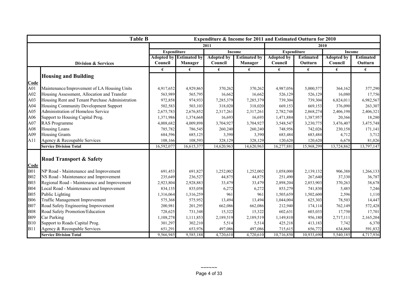|            | <b>Table B</b><br>Expenditure & Income for 2011 and Estimated Outturn for 2010 |                    |                                |                   |                     |                    |                  |                   |                  |
|------------|--------------------------------------------------------------------------------|--------------------|--------------------------------|-------------------|---------------------|--------------------|------------------|-------------------|------------------|
|            |                                                                                |                    | 2011                           |                   |                     | 2010               |                  |                   |                  |
|            |                                                                                | <b>Expenditure</b> |                                | <b>Income</b>     |                     | <b>Expenditure</b> |                  | <b>Income</b>     |                  |
|            |                                                                                |                    | <b>Adopted by Estimated by</b> | <b>Adopted by</b> | <b>Estimated by</b> | <b>Adopted by</b>  | <b>Estimated</b> | <b>Adopted by</b> | <b>Estimated</b> |
|            | <b>Division &amp; Services</b>                                                 | Council            | <b>Manager</b>                 | Council           | <b>Manager</b>      | Council            | Outturn          | Council           | Outturn          |
|            |                                                                                | €                  | €                              | €                 | €                   | €                  | €                | €                 | €                |
|            | <b>Housing and Building</b>                                                    |                    |                                |                   |                     |                    |                  |                   |                  |
| Code       |                                                                                |                    |                                |                   |                     |                    |                  |                   |                  |
| A01        | Maintenance/Improvement of LA Housing Units                                    | 4,917,652          | 4,929,865                      | 370,262           | 370,262             | 4,987,056          | 5,000,577        | 364,162           | 377,290          |
| A02        | Housing Assessment, Allocation and Transfer                                    | 563,989            | 565,795                        | 16,662            | 16,662              | 526,129            | 526,129          | 16,080            | 17,756           |
| A03        | Housing Rent and Tenant Purchase Administration                                | 972,858            | 974,933                        | 7,285,379         | 7,285,379           | 739,304            | 739,304          | 6,824,011         | 6,982,567        |
| A04        | Housing Community Development Support                                          | 502,583            | 503,103                        | 318,020           | 318,020             | 669,153            | 669,153          | 376,090           | 263,307          |
| A05        | <b>Administration of Homeless Service</b>                                      | 2,675,783          | 2,676,852                      | 2,317,261         | 2,317,261           | 2,782,748          | 2,868,274        | 2,406,198         | 2,406,321        |
| A06        | Support to Housing Capital Prog.                                               | 1,371,986          | 1,374,668                      | 16,693            | 16,693              | 1,471,884          | 1,387,957        | 20,366            | 18,280           |
| A07        | <b>RAS</b> Programme                                                           | 4,008,682          | 4,009,898                      | 3,704,927         | 3,704,927           | 3,548,547          | 3,230,775        | 3,476,407         | 3,475,748        |
| A08        | <b>Housing Loans</b>                                                           | 785,782            | 786,545                        | 260,240           | 260,240             | 748,956            | 742,026          | 230,158           | 171,141          |
| A09        | <b>Housing Grants</b>                                                          | 684,596            | 685,125                        | 3,390             | 3,390               | 683,484            | 683,484          | 4,712             | 3,712            |
| A11        | Agency & Recoupable Services                                                   | 108,166            | 108,593                        | 328,129           | 328,129             | 120,620            | 120,620          | 6,678             | 81,026           |
|            | <b>Service Division Total</b>                                                  | 16,592,077         | 16,615,377                     | 14,620,963        | 14,620,963          | 16,277,881         | 15,968,299       | 13,724,862        | 13,797,147       |
|            |                                                                                |                    |                                |                   |                     |                    |                  |                   |                  |
|            | <b>Road Transport &amp; Safety</b>                                             |                    |                                |                   |                     |                    |                  |                   |                  |
| Code       |                                                                                |                    |                                |                   |                     |                    |                  |                   |                  |
| <b>B01</b> | NP Road - Maintenance and Improvement                                          | 691,453            | 691,827                        | 1,252,002         | 1,252,002           | 1,058,000          | 2,139,132        | 906,388           | 1,266,133        |
| <b>B02</b> | NS Road - Maintenance and Improvement                                          | 235,649            | 236,527                        | 44,875            | 44,875              | 251,490            | 267,640          | 37,330            | 36,787           |
| <b>B03</b> | Regional Road - Maintenance and Improvement                                    | 2,923,804          | 2,928,883                      | 33,479            | 33,479              | 2,898,204          | 2,853,903        | 370,263           | 38,678           |
| <b>B04</b> | Local Road - Maintenance and Improvement                                       | 834,135            | 835,058                        | 6,272             | 6,272               | 853,279            | 741,830          | 5,485             | 7,246            |
| <b>B05</b> | Public Lighting                                                                | 1,316,064          | 1,316,259                      | 961               | 961                 | 1,505,659          | 1,502,600        | 2,596             | 1,110            |
| <b>B06</b> | <b>Traffic Management Improvement</b>                                          | 575,368            | 575,952                        | 13,494            | 13,494              | 1,044,004          | 625,303          | 78,503            | 14,447           |
| <b>B07</b> | Road Safety Engineering Improvement                                            | 200,981            | 201,295                        | 662,086           | 662,086             | 212,940            | 174,114          | 762,149           | 572,428          |
| <b>B08</b> | Road Safety Promotion/Education                                                | 728,625            | 731,348                        | 15,322            | 15,322              | 602,631            | 603,033          | 17,750            | 17,701           |
| <b>B09</b> | Car Parking                                                                    | 1,108,278          | 1,111,853                      | 2,189,519         | 2,189,519           | 1,149,810          | 956,180          | 2,717,111         | 2,165,204        |
| <b>B10</b> | Support to Roads Capital Prog.                                                 | 301,297            | 302,210                        | 5,514             | 5,514               | 425,218            | 413,183          | 7,742             | 6,370            |
| <b>B11</b> | Agency & Recoupable Services                                                   | 651,291            | 653,976                        | 497,086           | 497,086             | 715,615            | 656,772          | 634,868           | 591,832          |
|            | <b>Service Division Total</b>                                                  | 9,566,945          | 9,585,188                      | 4,720,610         | 4,720,610           | 10,716,850         | 10,933,690       | 5,540,185         | 4,717,936        |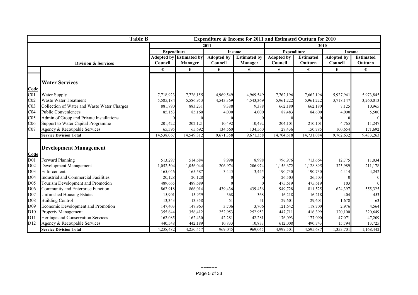| <b>Table B</b><br>Expenditure & Income for 2011 and Estimated Outturn for 2010 |                                             |                    |                                |                   |                     |                    |                  |                   |                  |  |
|--------------------------------------------------------------------------------|---------------------------------------------|--------------------|--------------------------------|-------------------|---------------------|--------------------|------------------|-------------------|------------------|--|
|                                                                                |                                             | 2011               |                                |                   |                     |                    | 2010             |                   |                  |  |
|                                                                                |                                             | <b>Expenditure</b> |                                |                   | <b>Income</b>       | <b>Expenditure</b> |                  | <b>Income</b>     |                  |  |
|                                                                                |                                             |                    | <b>Adopted by Estimated by</b> | <b>Adopted by</b> | <b>Estimated by</b> | <b>Adopted by</b>  | <b>Estimated</b> | <b>Adopted by</b> | <b>Estimated</b> |  |
|                                                                                | <b>Division &amp; Services</b>              | Council            | <b>Manager</b>                 | Council           | Manager             | Council            | Outturn          | Council           | <b>Outturn</b>   |  |
|                                                                                |                                             | €                  | €                              | €                 | €                   | €                  | €                | €                 | €                |  |
|                                                                                |                                             |                    |                                |                   |                     |                    |                  |                   |                  |  |
|                                                                                | <b>Water Services</b>                       |                    |                                |                   |                     |                    |                  |                   |                  |  |
| Code                                                                           |                                             |                    |                                |                   |                     |                    |                  |                   |                  |  |
| C <sub>01</sub>                                                                | Water Supply                                | 7,718,923          | 7,726,155                      | 4,969,549         | 4,969,549           | 7,762,196          | 7,662,196        | 5,927,941         | 5,973,845        |  |
| CO <sub>2</sub>                                                                | Waste Water Treatment                       | 5,585,184          | 5,586,953                      | 4,543,369         | 4,543,369           | 5,961,222          | 5,961,222        | 3,718,147         | 3,260,013        |  |
| CO <sub>3</sub>                                                                | Collection of Water and Waste Water Charges | 881,790            | 883,231                        | 9,388             | 9,388               | 662,180            | 662,180          | 7,125             | 10,965           |  |
| CO <sub>4</sub>                                                                | <b>Public Conveniences</b>                  | 85,153             | 85,160                         | 4,000             | 4,000               | 87,483             | 84,600           | 4,000             | 5,500            |  |
| CO <sub>5</sub>                                                                | Admin of Group and Private Installations    |                    |                                |                   |                     |                    |                  |                   |                  |  |
| C <sub>06</sub>                                                                | Support to Water Capital Programme          | 201,422            | 202,121                        | 10,492            | 10,492              | 204,101            | 210,101          | 4,765             | 11,247           |  |
| CO7                                                                            | Agency & Recoupable Services                | 65,595             | 65,692                         | 134,560           | 134,560             | 27,436             | 150,785          | 100,654           | 171,692          |  |
|                                                                                | <b>Service Division Total</b>               | 14,538,067         | 14,549,312                     | 9,671,358         | 9,671,358           | 14,704,618         | 14,731,084       | 9,762,632         | 9,433,263        |  |
|                                                                                |                                             |                    |                                |                   |                     |                    |                  |                   |                  |  |
|                                                                                | <b>Development Management</b>               |                    |                                |                   |                     |                    |                  |                   |                  |  |
| Code                                                                           |                                             |                    |                                |                   |                     |                    |                  |                   |                  |  |
| D <sub>01</sub>                                                                | Forward Planning                            | 513,297            | 514,684                        | 8,998             | 8,998               | 796,976            | 713,664          | 12,775            | 11,034           |  |
| D <sub>02</sub>                                                                | Development Management                      | 1,052,504          | 1,056,044                      | 206,974           | 206,974             | 1,156,672          | 1,128,895        | 323,989           | 211,178          |  |
| D <sub>03</sub>                                                                | Enforcement                                 | 165,046            | 165,587                        | 3,445             | 3,445               | 190,730            | 190,730          | 4,414             | 4,242            |  |
| D <sub>04</sub>                                                                | <b>Industrial and Commercial Facilities</b> | 20,128             | 20,128                         |                   |                     | 26,503             | 26,503           |                   |                  |  |
| D <sub>05</sub>                                                                | Tourism Development and Promotion           | 489,665            | 489,689                        |                   |                     | 475,619            | 475,619          | 103               |                  |  |
| D <sub>06</sub>                                                                | Community and Enterprise Function           | 862,918            | 866,014                        | 439,436           | 439,436             | 949,728            | 811,525          | 624,397           | 555,325          |  |
| D <sub>07</sub>                                                                | <b>Unfinished Housing Estates</b>           | 15,901             | 15,959                         | 368               | 368                 | 16,218             | 16,218           | 404               | 453              |  |
| D <sub>08</sub>                                                                | <b>Building Control</b>                     | 13,343             | 13,358                         | 51                | 51                  | 29,601             | 29,601           | 1,678             | 63               |  |
| D <sub>09</sub>                                                                | Economic Development and Promotion          | 147,403            | 147,963                        | 3,706             | 3,706               | 121,642            | 118,700          | 2,976             | 4,564            |  |
| D10                                                                            | <b>Property Management</b>                  | 355,644            | 356,412                        | 252,953           | 252,953             | 447,711            | 416,399          | 320,100           | 320,649          |  |
| D11                                                                            | Heritage and Conservation Services          | 162,085            | 162,430                        | 42,281            | 42,281              | 176,093            | 177,090          | 47,071            | 47,209           |  |
| D12                                                                            | Agency & Recoupable Services                | 440,548            | 442,189                        | 10,833            | 10,833              | 612,008            | 490,743          | 15,794            | 13,725           |  |
|                                                                                | <b>Service Division Total</b>               | 4,238,482          | 4,250,457                      | 969,045           | 969.045             | 4,999,501          | 4,595,687        | 1,353,701         | 1,168,442        |  |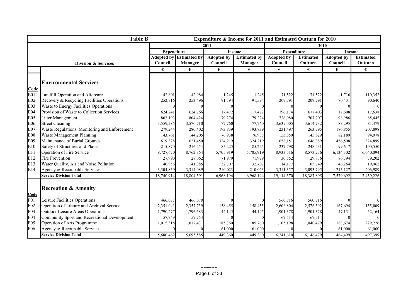| <b>Table B</b><br>Expenditure & Income for 2011 and Estimated Outturn for 2010 |                                               |                    |                                |                   |                     |                    |                  |                   |                  |  |
|--------------------------------------------------------------------------------|-----------------------------------------------|--------------------|--------------------------------|-------------------|---------------------|--------------------|------------------|-------------------|------------------|--|
|                                                                                |                                               | 2011               |                                |                   |                     |                    | 2010             |                   |                  |  |
|                                                                                |                                               | <b>Expenditure</b> |                                |                   | <b>Income</b>       | <b>Expenditure</b> |                  | <b>Income</b>     |                  |  |
|                                                                                |                                               |                    | <b>Adopted by Estimated by</b> | <b>Adopted by</b> | <b>Estimated by</b> | <b>Adopted by</b>  | <b>Estimated</b> | <b>Adopted by</b> | <b>Estimated</b> |  |
|                                                                                | <b>Division &amp; Services</b>                | Council            | <b>Manager</b>                 | Council           | <b>Manager</b>      | Council            | Outturn          | Council           | Outturn          |  |
|                                                                                |                                               | €                  | €                              | €                 | €                   | €                  | €                | €                 | €                |  |
|                                                                                |                                               |                    |                                |                   |                     |                    |                  |                   |                  |  |
|                                                                                | <b>Environmental Services</b>                 |                    |                                |                   |                     |                    |                  |                   |                  |  |
| Code                                                                           |                                               |                    |                                |                   |                     |                    |                  |                   |                  |  |
| E01                                                                            | Landfill Operation and Aftercare              | 42,801             | 42,984                         | 1,245             | 1,245               | 71,522             | 71,522           | 1,716             | 110,352          |  |
| E02                                                                            | Recovery & Recycling Facilities Operations    | 252,716            | 253,496                        | 91,594            | 91,594              | 209,791            | 209,791          | 70,431            | 90,640           |  |
| E03                                                                            | Waste to Energy Facilities Operations         |                    |                                |                   |                     |                    |                  |                   | $\Omega$         |  |
| <b>E04</b>                                                                     | Provision of Waste to Collection Services     | 624,241            | 624,766                        | 17,472            | 17,472              | 796,174            | 677,403          | 17,608            | 17,638           |  |
| E <sub>05</sub>                                                                | Litter Management                             | 802,193            | 804,424                        | 79,274            | 79,274              | 726,980            | 707,707          | 98,986            | 85,445           |  |
| E06                                                                            | <b>Street Cleaning</b>                        | 3,559,285          | 3,570,710                      | 77,760            | 77,760              | 3,639,005          | 3,614,732        | 83,295            | 81,479           |  |
| E07                                                                            | Waste Regulations, Monitoring and Enforcement | 279,244            | 280,402                        | 193,839           | 193,839             | 231,497            | 263,795          | 186,855           | 207,898          |  |
| <b>E08</b>                                                                     | Waste Management Planning                     | 143,761            | 144,205                        | 76,938            | 76,938              | 153,850            | 145,629          | 82,189            | 94,078           |  |
| E09                                                                            | Maintenance of Burial Grounds                 | 619,328            | 621,450                        | 324,219           | 324,219             | 658,151            | 646,389          | 456,508           | 324,899          |  |
| E10                                                                            | Safety of Structures and Places               | 215,870            | 216,254                        | 85,225            | 85,225              | 237,798            | 248,231          | 99,617            | 100,550          |  |
| E11                                                                            | Operation of Fire Service                     | 8,727,670          | 8,762,364                      | 5,705,919         | 5,705,919           | 8,933,516          | 8,573,276        | 6,134,302         | 6,040,094        |  |
| E12                                                                            | <b>Fire Prevention</b>                        | 27,990             | 28,062                         | 71,979            | 71,979              | 30,552             | 29,876           | 86,794            | 79,202           |  |
| E13                                                                            | Water Quality, Air and Noise Pollution        | 140,956            | 141,385                        | 32,707            | 32,707              | 114,177            | 105,749          | 46,264            | 19,962           |  |
| E14                                                                            | Agency & Recoupable Servicess                 | 3,304,859          | 3,314,089                      | 210,023           | 210,023             | 3,311,357          | 3,093,795        | 215,127           | 206,989          |  |
|                                                                                | <b>Service Division Total</b>                 | 18,740,914         | 18,804,591                     | 6,968,194         | 6,968,194           | 19,114,370         | 18,387,895       | 7,579,692         | 7,459,226        |  |
|                                                                                |                                               |                    |                                |                   |                     |                    |                  |                   |                  |  |
|                                                                                | <b>Recreation &amp; Amenity</b>               |                    |                                |                   |                     |                    |                  |                   |                  |  |
| <b>Code</b>                                                                    |                                               |                    |                                |                   |                     |                    |                  |                   |                  |  |
| F01                                                                            | Leisure Facilities Operations                 | 466,077            | 466,078                        |                   |                     | 560,716            | 560,716          |                   |                  |  |
| F <sub>02</sub>                                                                | Operation of Library and Archival Service     | 2,351,041          | 2,357,739                      | 158,455           | 158,455             | 2,606,804          | 2,576,392        | 167,694           | 155,009          |  |
| F03                                                                            | <b>Outdoor Leisure Areas Operations</b>       | 1,790,277          | 1,796,583                      | 44,145            | 44,145              | 1,901,378          | 1,901,378        | 47,131            | 52,164           |  |
| F04                                                                            | Community Sport and Recreational Development  | 57,749             | 57,754                         |                   |                     | 67,514             | 67,514           |                   | $\Omega$         |  |
| F <sub>05</sub>                                                                | Operation of Arts Programme                   | 1,015,318          | 1,017,431                      | 185,760           | 185,760             | 1,105,198          | 1,040,479        | 188,674           | 229,226          |  |
| F <sub>06</sub>                                                                | Agency & Recoupable Services                  |                    |                                | 61,000            | 61,000              |                    |                  | 61,000            | 61,000           |  |
|                                                                                | <b>Service Division Total</b>                 | 5,680,462          | 5,695,585                      | 449,360           | 449,360             | 6,241,610          | 6,146,479        | 464,499           | 497,399          |  |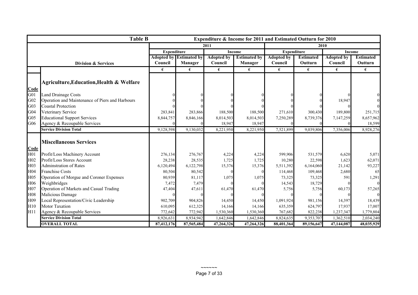|                 | <b>Table B</b><br>Expenditure & Income for 2011 and Estimated Outturn for 2010 |                    |                                |                   |                     |                    |                  |                   |                  |
|-----------------|--------------------------------------------------------------------------------|--------------------|--------------------------------|-------------------|---------------------|--------------------|------------------|-------------------|------------------|
|                 |                                                                                |                    |                                | 2011              |                     |                    |                  | 2010              |                  |
|                 |                                                                                | <b>Expenditure</b> |                                | <b>Income</b>     |                     | <b>Expenditure</b> |                  | <b>Income</b>     |                  |
|                 |                                                                                |                    | <b>Adopted by Estimated by</b> | <b>Adopted by</b> | <b>Estimated by</b> | <b>Adopted by</b>  | <b>Estimated</b> | <b>Adopted by</b> | <b>Estimated</b> |
|                 | <b>Division &amp; Services</b>                                                 | Council            | Manager                        | Council           | Manager             | Council            | Outturn          | Council           | Outturn          |
|                 |                                                                                | €                  | €                              | €                 | €                   | €                  | €                | €                 | €                |
|                 |                                                                                |                    |                                |                   |                     |                    |                  |                   |                  |
|                 | <b>Agriculture, Education, Health &amp; Welfare</b>                            |                    |                                |                   |                     |                    |                  |                   |                  |
| Code            |                                                                                |                    |                                |                   |                     |                    |                  |                   |                  |
| G01             | <b>Land Drainage Costs</b>                                                     |                    |                                |                   |                     |                    |                  |                   |                  |
| G <sub>02</sub> | Operation and Maintenance of Piers and Harbours                                |                    |                                |                   |                     |                    |                  | 18,947            |                  |
| G03             | <b>Coastal Protection</b>                                                      |                    |                                |                   |                     |                    |                  |                   |                  |
| G <sub>04</sub> | Veterinary Service                                                             | 283,841            | 283,866                        | 188,500           | 188,500             | 271,610            | 300,430          | 189,800           | 251,715          |
| G <sub>05</sub> | <b>Educational Support Services</b>                                            | 8,844,757          | 8,846,166                      | 8,014,503         | 8,014,503           | 7,250,289          | 8,739,376        | 7,147,259         | 8,657,962        |
| G06             | Agency & Recoupable Services                                                   |                    |                                | 18,947            | 18,947              |                    |                  |                   | 18,599           |
|                 | <b>Service Division Total</b>                                                  | 9,128,598          | 9,130,032                      | 8,221,950         | 8,221,950           | 7,521,899          | 9.039.806        | 7,356,006         | 8,928,276        |
|                 |                                                                                |                    |                                |                   |                     |                    |                  |                   |                  |
|                 | <b>Miscellaneous Services</b>                                                  |                    |                                |                   |                     |                    |                  |                   |                  |
| Code            |                                                                                |                    |                                |                   |                     |                    |                  |                   |                  |
| H <sub>01</sub> | Profit/Loss Machinery Account                                                  | 276,134            | 276,767                        | 4,224             | 4,224               | 599,906            | 531,579          | 6,620             | 5,071            |
| H <sub>02</sub> | Profit/Loss Stores Account                                                     | 28,238             | 28,535                         | 1,725             | 1,725               | 10,280             | 22,598           | 1,623             | 62,071           |
| H <sub>03</sub> | <b>Adminstration of Rates</b>                                                  | 6,120,494          | 6,122,798                      | 15,376            | 15,376              | 5,511,392          | 6,164,060        | 21,142            | 93,227           |
| H <sub>04</sub> | <b>Franchise Costs</b>                                                         | 80,504             | 80,542                         |                   |                     | 114,468            | 109,468          | 2,680             | 65               |
| H <sub>05</sub> | Operation of Morgue and Coroner Expenses                                       | 80,939             | 81,117                         | 1,075             | 1,075               | 73,325             | 73,325           | 591               | 1,291            |
| H <sub>06</sub> | Weighbridges                                                                   | 7,472              | 7,479                          |                   |                     | 14,543             | 18,729           |                   |                  |
| H <sub>07</sub> | Operation of Markets and Casual Trading                                        | 47,404             | 47,611                         | 61,470            | 61,470              | 5,756              | 5,756            | 60,173            | 57,265           |
| <b>H08</b>      | Malicious Damage                                                               |                    |                                |                   |                     |                    |                  |                   |                  |
| H <sub>09</sub> | Local Representation/Civic Leadership                                          | 902,709            | 904,826                        | 14,450            | 14,450              | 1,091,924          | 981,156          | 14,397            | 18,439           |
| H10             | <b>Motor Taxation</b>                                                          | 610,095            | 612,325                        | 14,166            | 14,166              | 635,359            | 624,797          | 17,937            | 17,007           |
| H11             | Agency & Recoupable Services                                                   | 772,642            | 772,942                        | 1,530,360         | 1,530,360           | 767,682            | 822,238          | 1,237,347         | 1,779,804        |
|                 | <b>Service Division Total</b>                                                  | 8,926,631          | 8,934,942                      | 1,642,846         | 1,642,846           | 8,824,635          | 9,353,707        | 1,362,510         | 2,034,240        |
|                 | <b>OVERALL TOTAL</b>                                                           | 87,412,176         | 87,565,484                     | 47,264,326        | 47,264,326          | 88,401,364         | 89,156,647       | 47,144,087        | 48,035,929       |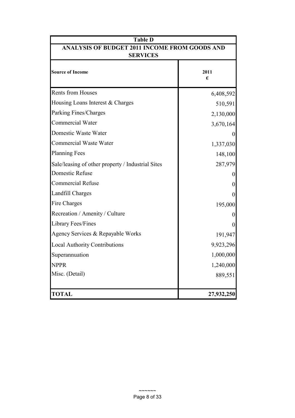| <b>Table D</b>                                    |                   |  |  |  |  |
|---------------------------------------------------|-------------------|--|--|--|--|
| ANALYSIS OF BUDGET 2011 INCOME FROM GOODS AND     |                   |  |  |  |  |
| <b>SERVICES</b>                                   |                   |  |  |  |  |
| <b>Source of Income</b>                           | 2011<br>€         |  |  |  |  |
| <b>Rents from Houses</b>                          | 6,408,592         |  |  |  |  |
| Housing Loans Interest & Charges                  | 510,591           |  |  |  |  |
| Parking Fines/Charges                             | 2,130,000         |  |  |  |  |
| <b>Commercial Water</b>                           | 3,670,164         |  |  |  |  |
| Domestic Waste Water                              | $\theta$          |  |  |  |  |
| Commercial Waste Water                            | 1,337,030         |  |  |  |  |
| <b>Planning Fees</b>                              | 148,100           |  |  |  |  |
| Sale/leasing of other property / Industrial Sites | 287,979           |  |  |  |  |
| Domestic Refuse                                   | $\theta$          |  |  |  |  |
| <b>Commercial Refuse</b>                          | $\theta$          |  |  |  |  |
| Landfill Charges                                  | $\theta$          |  |  |  |  |
| Fire Charges                                      | 195,000           |  |  |  |  |
| Recreation / Amenity / Culture                    | 0                 |  |  |  |  |
| <b>Library Fees/Fines</b>                         | $\mathbf{\Omega}$ |  |  |  |  |
| Agency Services & Repayable Works                 | 191,947           |  |  |  |  |
| <b>Local Authority Contributions</b>              | 9,923,296         |  |  |  |  |
| Superannuation                                    | 1,000,000         |  |  |  |  |
| <b>NPPR</b>                                       | 1,240,000         |  |  |  |  |
| Misc. (Detail)                                    | 889,551           |  |  |  |  |
| <b>TOTAL</b>                                      | 27,932,250        |  |  |  |  |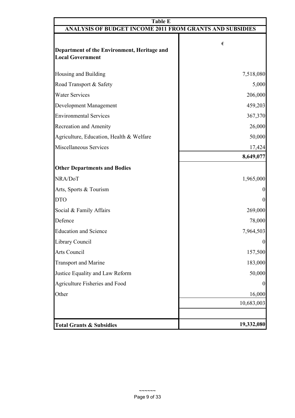| <b>Table E</b>                                                         |                  |  |  |  |  |
|------------------------------------------------------------------------|------------------|--|--|--|--|
| ANALYSIS OF BUDGET INCOME 2011 FROM GRANTS AND SUBSIDIES               |                  |  |  |  |  |
| Department of the Environment, Heritage and<br><b>Local Government</b> | €                |  |  |  |  |
| Housing and Building                                                   | 7,518,080        |  |  |  |  |
| Road Transport & Safety                                                | 5,000            |  |  |  |  |
| <b>Water Services</b>                                                  | 206,000          |  |  |  |  |
| Development Management                                                 | 459,203          |  |  |  |  |
| <b>Environmental Services</b>                                          | 367,370          |  |  |  |  |
| Recreation and Amenity                                                 | 26,000           |  |  |  |  |
| Agriculture, Education, Health & Welfare                               | 50,000           |  |  |  |  |
| <b>Miscellaneous Services</b>                                          | 17,424           |  |  |  |  |
|                                                                        | 8,649,077        |  |  |  |  |
| <b>Other Departments and Bodies</b>                                    |                  |  |  |  |  |
| NRA/DoT                                                                | 1,965,000        |  |  |  |  |
| Arts, Sports & Tourism                                                 | $\boldsymbol{0}$ |  |  |  |  |
| <b>DTO</b>                                                             | $\Omega$         |  |  |  |  |
| Social & Family Affairs                                                | 269,000          |  |  |  |  |
| Defence                                                                | 78,000           |  |  |  |  |
| <b>Education and Science</b>                                           | 7,964,503        |  |  |  |  |
| Library Council                                                        | $\boldsymbol{0}$ |  |  |  |  |
| <b>Arts Council</b>                                                    | 157,500          |  |  |  |  |
| <b>Transport and Marine</b>                                            | 183,000          |  |  |  |  |
| Justice Equality and Law Reform                                        | 50,000           |  |  |  |  |
| Agriculture Fisheries and Food                                         | $\theta$         |  |  |  |  |
| Other                                                                  | 16,000           |  |  |  |  |
|                                                                        | 10,683,003       |  |  |  |  |
|                                                                        |                  |  |  |  |  |
| <b>Total Grants &amp; Subsidies</b>                                    | 19,332,080       |  |  |  |  |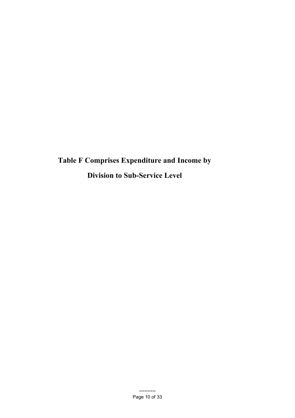**Table F Comprises Expenditure and Income by Division to Sub-Service Level**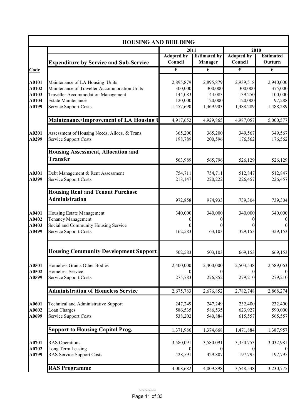|                | <b>HOUSING AND BUILDING</b>                                                     |                              |                                       |                              |                             |
|----------------|---------------------------------------------------------------------------------|------------------------------|---------------------------------------|------------------------------|-----------------------------|
|                |                                                                                 | 2011                         |                                       | 2010                         |                             |
|                | <b>Expenditure by Service and Sub-Service</b>                                   | <b>Adopted by</b><br>Council | <b>Estimated by</b><br><b>Manager</b> | <b>Adopted by</b><br>Council | <b>Estimated</b><br>Outturn |
| Code           |                                                                                 | €                            | €                                     | €                            | $\overline{\epsilon}$       |
| A0101<br>A0102 | Maintenance of LA Housing Units<br>Maintenance of Traveller Accommodation Units | 2,895,879<br>300,000         | 2,895,879<br>300,000                  | 2,939,518<br>300,000         | 2,940,000<br>375,000        |
| A0103          | <b>Traveller Accommodation Management</b>                                       | 144,083                      | 144,083                               | 139,250                      | 100,000                     |
| A0104          | <b>Estate Maintenance</b>                                                       | 120,000                      | 120,000                               | 120,000                      | 97,288                      |
| A0199          | <b>Service Support Costs</b>                                                    | 1,457,690                    | 1,469,903                             | 1,488,289                    | 1,488,289                   |
|                | Maintenance/Improvement of LA Housing U                                         | 4,917,652                    | 4,929,865                             | 4,987,057                    | 5,000,577                   |
| A0201<br>A0299 | Assessment of Housing Needs, Allocs. & Trans.<br><b>Service Support Costs</b>   | 365,200<br>198,789           | 365,200<br>200,596                    | 349,567<br>176,562           | 349,567<br>176,562          |
|                | <b>Housing Assessment, Allocation and</b><br><b>Transfer</b>                    | 563,989                      | 565,796                               | 526,129                      | 526,129                     |
| A0301<br>A0399 | Debt Management & Rent Assessment<br><b>Service Support Costs</b>               | 754,711<br>218,147           | 754,711<br>220,222                    | 512,847<br>226,457           | 512,847<br>226,457          |
|                | <b>Housing Rent and Tenant Purchase</b><br><b>Administration</b>                | 972,858                      | 974,933                               | 739,304                      | 739,304                     |
| A0401<br>A0402 | Housing Estate Management<br><b>Tenancy Management</b>                          | 340,000<br>0                 | 340,000                               | 340,000                      | 340,000<br>$\boldsymbol{0}$ |
| A0403<br>A0499 | Social and Community Housing Service<br><b>Service Support Costs</b>            | 162,583                      | 163,103                               | 329,153                      | $\overline{0}$<br>329,153   |
|                | <b>Housing Community Development Support</b>                                    | 502,583                      | 503,103                               | 669,153                      | 669,153                     |
| A0501<br>A0502 | Homeless Grants Other Bodies<br>Homeless Service                                | 2,400,000                    | 2,400,000                             | 2,503,538                    | 2,589,063                   |
| A0599          | <b>Service Support Costs</b>                                                    | 275,783                      | 276,852                               | 279,210                      | 279,210                     |
|                | <b>Administration of Homeless Service</b>                                       | 2,675,783                    | 2,676,852                             | 2,782,748                    | 2,868,274                   |
| A0601<br>A0602 | Technical and Administrative Support<br>Loan Charges                            | 247,249<br>586,535           | 247,249<br>586,535                    | 232,400<br>623,927           | 232,400<br>590,000          |
| A0699          | <b>Service Support Costs</b>                                                    | 538,202                      | 540,884                               | 615,557                      | 565,557                     |
|                | <b>Support to Housing Capital Prog.</b>                                         | 1,371,986                    | 1,374,668                             | 1,471,884                    | 1,387,957                   |
| A0701<br>A0702 | <b>RAS</b> Operations<br>Long Term Leasing                                      | 3,580,091<br>$\theta$        | 3,580,091                             | 3,350,753                    | 3,032,981<br>$\overline{0}$ |
| A0799          | <b>RAS Service Support Costs</b>                                                | 428,591                      | 429,807                               | 197,795                      | 197,795                     |
|                | <b>RAS Programme</b>                                                            | 4,008,682                    | 4,009,898                             | 3,548,548                    | 3,230,775                   |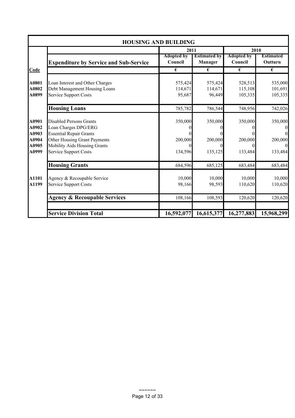|                |                                                                     | <b>HOUSING AND BUILDING</b>  |                                |                              |                                      |
|----------------|---------------------------------------------------------------------|------------------------------|--------------------------------|------------------------------|--------------------------------------|
|                |                                                                     |                              | 2010                           |                              |                                      |
|                | <b>Expenditure by Service and Sub-Service</b>                       | <b>Adopted by</b><br>Council | <b>Estimated by</b><br>Manager | <b>Adopted by</b><br>Council | <b>Estimated</b><br>Outturn          |
| Code           |                                                                     | €                            | €                              | €                            | $\overline{\epsilon}$                |
| A0801          | Loan Interest and Other Charges                                     | 575,424                      | 575,424                        | 528,513                      | 535,000                              |
| A0802<br>A0899 | Debt Management Housing Loans<br><b>Service Support Costs</b>       | 114,671<br>95,687            | 114,671<br>96,449              | 115,108<br>105,335           | 101,691<br>105,335                   |
|                | <b>Housing Loans</b>                                                | 785,782                      | 786,544                        | 748,956                      | 742,026                              |
| A0901<br>A0902 | <b>Disabled Persons Grants</b>                                      | 350,000                      | 350,000                        | 350,000                      | 350,000                              |
| A0903          | Loan Charges DPG/ERG<br><b>Essential Repair Grants</b>              |                              |                                |                              | $\boldsymbol{0}$<br>$\boldsymbol{0}$ |
| A0904<br>A0905 | Other Housing Grant Payments<br><b>Mobility Aids Housing Grants</b> | 200,000                      | 200,000                        | 200,000                      | 200,000<br>$\Omega$                  |
| A0999          | <b>Service Support Costs</b>                                        | 134,596                      | 135,125                        | 133,484                      | 133,484                              |
|                | <b>Housing Grants</b>                                               | 684,596                      | 685,125                        | 683,484                      | 683,484                              |
| A1101          | Agency & Recoupable Service                                         | 10,000                       | 10,000                         | 10,000                       | 10,000                               |
| A1199          | <b>Service Support Costs</b>                                        | 98,166                       | 98,593                         | 110,620                      | 110,620                              |
|                | <b>Agency &amp; Recoupable Services</b>                             | 108,166                      | 108,593                        | 120,620                      | 120,620                              |
|                | <b>Service Division Total</b>                                       | 16,592,077                   | 16,615,377                     | 16,277,883                   | 15,968,299                           |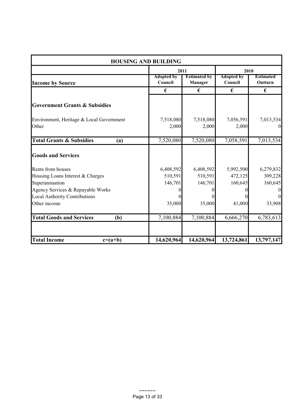| <b>HOUSING AND BUILDING</b>                                                                                                                                          |                                           |                                                       |                                           |                                                                          |  |  |  |  |
|----------------------------------------------------------------------------------------------------------------------------------------------------------------------|-------------------------------------------|-------------------------------------------------------|-------------------------------------------|--------------------------------------------------------------------------|--|--|--|--|
|                                                                                                                                                                      | 2011                                      |                                                       | 2010                                      |                                                                          |  |  |  |  |
| <b>Income by Source</b>                                                                                                                                              | <b>Adopted by</b><br>Council              | <b>Estimated by</b><br>Manager                        | <b>Adopted by</b><br>Council              | <b>Estimated</b><br>Outturn                                              |  |  |  |  |
|                                                                                                                                                                      | €                                         | €                                                     | €                                         | €                                                                        |  |  |  |  |
| <b>Government Grants &amp; Subsidies</b>                                                                                                                             |                                           |                                                       |                                           |                                                                          |  |  |  |  |
| Environment, Heritage & Local Government<br>Other                                                                                                                    | 7,518,080<br>2,000                        | 7,518,080<br>2,000                                    | 7,056,591<br>2,000                        | 7,013,534<br>$\overline{0}$                                              |  |  |  |  |
| <b>Total Grants &amp; Subsidies</b><br>(a)                                                                                                                           | 7,520,080                                 | 7,520,080                                             | 7,058,591                                 | 7,013,534                                                                |  |  |  |  |
| <b>Goods and Services</b>                                                                                                                                            |                                           |                                                       |                                           |                                                                          |  |  |  |  |
| Rents from houses<br>Housing Loans Interest & Charges<br>Superannuation<br>Agency Services & Repayable Works<br><b>Local Authority Contributions</b><br>Other income | 6,408,592<br>510,591<br>146,701<br>35,000 | 6,408,592<br>510,591<br>146,701<br>$\theta$<br>35,000 | 5,992,500<br>472,125<br>160,645<br>41,000 | 6,279,832<br>309,228<br>160,645<br>$\vert 0 \vert$<br>$\Omega$<br>33,908 |  |  |  |  |
| <b>Total Goods and Services</b><br>(b)                                                                                                                               | 7,100,884                                 | 7,100,884                                             | 6,666,270                                 | 6,783,613                                                                |  |  |  |  |
| <b>Total Income</b><br>$c=(a+b)$                                                                                                                                     | 14,620,964                                | 14,620,964                                            | 13,724,861                                | 13,797,147                                                               |  |  |  |  |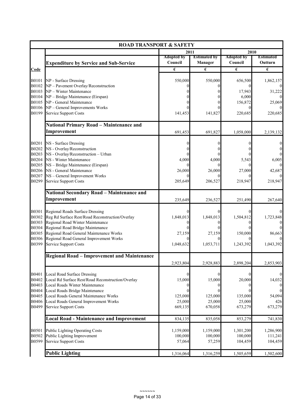|                         | <b>ROAD TRANSPORT &amp; SAFETY</b>                                                                                        |                                |                                |                              |                             |
|-------------------------|---------------------------------------------------------------------------------------------------------------------------|--------------------------------|--------------------------------|------------------------------|-----------------------------|
|                         |                                                                                                                           | 2011                           |                                | 2010                         |                             |
|                         | <b>Expenditure by Service and Sub-Service</b>                                                                             | <b>Adopted by</b><br>Council   | <b>Estimated by</b><br>Manager | <b>Adopted by</b><br>Council | <b>Estimated</b><br>Outturn |
| Code                    |                                                                                                                           | €                              | $\epsilon$                     | $\epsilon$                   | $\epsilon$                  |
| B0101<br>B0102          | NP - Surface Dressing<br>NP - Pavement Overlay/Reconstruction                                                             | 550,000                        | 550,000                        | 656,500                      | 1,862,157                   |
| B0103<br>B0104          | NP - Winter Maintenance<br>NP - Bridge Maintenance (Eirspan)                                                              |                                |                                | 17,943<br>6,000              | 31,222                      |
| B0105                   | NP - General Maintenance                                                                                                  |                                |                                | 156,872                      | 25,069                      |
| B0106<br>B0199          | NP - General Improvements Works<br>Service Support Costs                                                                  | 141,453                        | 141,827                        | 220,685                      | 220,685                     |
|                         | <b>National Primary Road - Maintenance and</b>                                                                            |                                |                                |                              |                             |
|                         | Improvement                                                                                                               | 691,453                        | 691,827                        | 1,058,000                    | 2,139,132                   |
| B0201                   | NS - Surface Dressing                                                                                                     | 0                              |                                |                              | 0                           |
| B0202                   | NS - Overlay/Reconstruction                                                                                               |                                |                                |                              |                             |
| B0203<br>B0204          | NS - Overlay/Reconstruction - Urban<br>NS - Winter Maintenance                                                            | 4,000                          | 4,000                          | 5,543                        | 6,005                       |
| B0205<br><b>B0206</b>   | NS - Bridge Maintenance (Eirspan)<br>NS - General Maintenance                                                             | $\Omega$<br>26,000<br>$\Omega$ | 26,000                         | 27,000                       | 42,687                      |
| B0207<br>B0299          | NS - General Improvement Works<br>Service Support Costs                                                                   | 205,649                        | 206,527                        | 218,947                      | 218,947                     |
|                         | <b>National Secondary Road - Maintenance and</b>                                                                          |                                |                                |                              |                             |
|                         | Improvement                                                                                                               | 235,649                        | 236,527                        | 251,490                      | 267,640                     |
| B0301<br>B0302<br>B0303 | Regional Roads Surface Dressing<br>Reg Rd Surface Rest/Road Reconstruction/Overlay<br>Regional Road Winter Maintenance    | 1,848,013<br>0                 | 1,848,013                      | 1,504,812                    | 1,723,848                   |
| B0304<br>B0305          | Regional Road Bridge Maintenance<br>Regional Road General Maintenance Works                                               | 27,159                         | 27,159                         | 150,000                      | 86,663                      |
| <b>B0306</b><br>B0399   | Regional Road General Improvement Works<br>Service Support Costs                                                          | 1,048,632                      | 1,053,711                      | 1,243,392                    | 1,043,392                   |
|                         | <b>Regional Road - Improvement and Maintenance</b>                                                                        |                                |                                |                              |                             |
|                         |                                                                                                                           | 2,923,804                      | 2,928,883                      | 2,898,204                    | 2,853,903                   |
| B0401<br>B0402<br>B0403 | <b>Local Road Surface Dressing</b><br>Local Rd Surface Rest/Road Reconstruction/Overlay<br>Local Roads Winter Maintenance | $\Omega$<br>15,000             | 15,000                         | 20,000                       | $\boldsymbol{0}$<br>14,032  |
| B0404                   | Local Roads Bridge Maintenance                                                                                            | $\theta$                       |                                |                              | $\theta$                    |
| B0405                   | Local Roads General Maintenance Works                                                                                     | 125,000                        | 125,000                        | 135,000                      | 54,094                      |
| B0406<br>B0499          | Local Roads General Improvement Works<br>Service Support Costs                                                            | 25,000<br>669,135              | 25,000<br>670,058              | 25,000<br>673,279            | 426<br>673,279              |
|                         | <b>Local Road - Maintenance and Improvement</b>                                                                           | 834,135                        | 835,058                        | 853,279                      | 741,830                     |
| B0501                   | <b>Public Lighting Operating Costs</b>                                                                                    | 1,159,000                      | 1,159,000                      | 1,301,200                    | 1,286,900                   |
| B0502                   | Public Lighting Improvement                                                                                               | 100,000                        | 100,000                        | 100,000                      | 111,241                     |
| B0599                   | <b>Service Support Costs</b>                                                                                              | 57,064                         | 57,259                         | 104,459                      | 104,459                     |
|                         | <b>Public Lighting</b>                                                                                                    | 1,316,064                      | 1,316,259                      | 1,505,659                    | 1,502,600                   |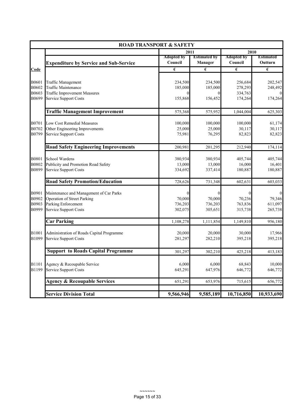|             |                                               | <b>ROAD TRANSPORT &amp; SAFETY</b> |                                       |                              |                             |
|-------------|-----------------------------------------------|------------------------------------|---------------------------------------|------------------------------|-----------------------------|
|             |                                               | 2011                               |                                       | 2010                         |                             |
|             | <b>Expenditure by Service and Sub-Service</b> | <b>Adopted by</b><br>Council       | <b>Estimated by</b><br><b>Manager</b> | <b>Adopted by</b><br>Council | <b>Estimated</b><br>Outturn |
| <u>Code</u> |                                               | €                                  | €                                     | $\epsilon$                   | €                           |
|             |                                               |                                    |                                       |                              |                             |
| B0601       | <b>Traffic Management</b>                     | 234,500                            | 234,500                               | 256,684                      | 202,547                     |
| B0602       | <b>Traffic Maintenance</b>                    | 185,000                            | 185,000                               | 278,293                      | 248,492                     |
| B0603       | <b>Traffic Improvement Measures</b>           |                                    | $\Omega$                              | 334,763                      |                             |
| B0699       | <b>Service Support Costs</b>                  | 155,868                            | 156,452                               | 174,264                      | 174,264                     |
|             | <b>Traffic Management Improvement</b>         | 575,368                            | 575,952                               | 1,044,004                    | 625,303                     |
| B0701       | Low Cost Remedial Measures                    | 100,000                            | 100,000                               | 100,000                      | 61,174                      |
| B0702       | Other Engineering Improvements                | 25,000                             | 25,000                                | 30,117                       | 30,117                      |
| B0799       | <b>Service Support Costs</b>                  | 75,981                             | 76,295                                | 82,823                       | 82,823                      |
|             | <b>Road Safety Engineering Improvements</b>   | 200,981                            | 201,295                               | 212,940                      | 174,114                     |
| B0801       | School Wardens                                | 380,934                            | 380,934                               | 405,744                      | 405,744                     |
| B0802       | Publicity and Promotion Road Safety           | 13,000                             | 13,000                                | 16,000                       | 16,401                      |
| B0899       | <b>Service Support Costs</b>                  | 334,692                            | 337,414                               | 180,887                      | 180,887                     |
|             | <b>Road Safety Promotion/Education</b>        | 728,626                            | 731,348                               | 602,631                      | 603,033                     |
| B0901       | Maintenance and Management of Car Parks       | $\boldsymbol{0}$                   | $\boldsymbol{0}$                      |                              | $\mathbf{0}$                |
| B0902       | <b>Operation of Street Parking</b>            | 70,000                             | 70,000                                | 70,236                       | 79,346                      |
| B0903       | Parking Enforcement                           | 736,203                            | 736,203                               | 763,836                      | 611,097                     |
| B0999       | <b>Service Support Costs</b>                  | 302,075                            | 305,651                               | 315,738                      | 265,738                     |
|             | <b>Car Parking</b>                            | 1,108,278                          | 1,111,854                             | 1,149,810                    | 956,180                     |
| B1001       | Administration of Roads Capital Programme     | 20,000                             | 20,000                                | 30,000                       | 17,966                      |
| B1099       | Service Support Costs                         | 281,297                            | 282,210                               | 395,218                      | 395,218                     |
|             | <b>Support to Roads Capital Programme</b>     | 301,297                            | 302,210                               | 425,218                      | 413,183                     |
| B1101       | Agency & Recoupable Service                   | 6,000                              | 6,000                                 | 68,843                       | 10,000                      |
| B1199       | <b>Service Support Costs</b>                  | 645,291                            | 647,976                               | 646,772                      | 646,772                     |
|             | <b>Agency &amp; Recoupable Services</b>       | 651,291                            | 653,976                               | 715,615                      | 656,772                     |
|             | <b>Service Division Total</b>                 | 9,566,946                          | 9,585,189                             | 10,716,850                   | 10,933,690                  |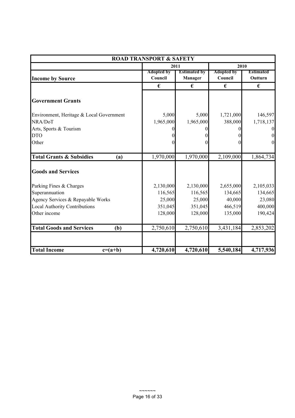| <b>ROAD TRANSPORT &amp; SAFETY</b>         |                              |                                |                              |                             |  |  |
|--------------------------------------------|------------------------------|--------------------------------|------------------------------|-----------------------------|--|--|
|                                            |                              | 2011                           | 2010                         |                             |  |  |
| <b>Income by Source</b>                    | <b>Adopted by</b><br>Council | <b>Estimated by</b><br>Manager | <b>Adopted by</b><br>Council | <b>Estimated</b><br>Outturn |  |  |
|                                            | €                            | €                              | €                            | €                           |  |  |
| <b>Government Grants</b>                   |                              |                                |                              |                             |  |  |
| Environment, Heritage & Local Government   | 5,000                        | 5,000                          | 1,721,000                    | 146,597                     |  |  |
| NRA/DoT                                    | 1,965,000                    | 1,965,000                      | 388,000                      | 1,718,137                   |  |  |
| Arts, Sports & Tourism                     |                              |                                |                              | $\boldsymbol{0}$            |  |  |
| <b>DTO</b>                                 |                              |                                |                              | $\boldsymbol{0}$            |  |  |
| Other                                      |                              |                                |                              | $\boldsymbol{0}$            |  |  |
| <b>Total Grants &amp; Subsidies</b><br>(a) | 1,970,000                    | 1,970,000                      | 2,109,000                    | 1,864,734                   |  |  |
| <b>Goods and Services</b>                  |                              |                                |                              |                             |  |  |
| Parking Fines & Charges                    | 2,130,000                    | 2,130,000                      | 2,655,000                    | 2,105,033                   |  |  |
| Superannuation                             | 116,565                      | 116,565                        | 134,665                      | 134,665                     |  |  |
| Agency Services & Repayable Works          | 25,000                       | 25,000                         | 40,000                       | 23,080                      |  |  |
| <b>Local Authority Contributions</b>       | 351,045                      | 351,045                        | 466,519                      | 400,000                     |  |  |
| Other income                               | 128,000                      | 128,000                        | 135,000                      | 190,424                     |  |  |
| <b>Total Goods and Services</b><br>(b)     | 2,750,610                    | 2,750,610                      | 3,431,184                    | 2,853,202                   |  |  |
|                                            |                              |                                |                              |                             |  |  |
| <b>Total Income</b><br>$c=(a+b)$           | 4,720,610                    | 4,720,610                      | 5,540,184                    | 4,717,936                   |  |  |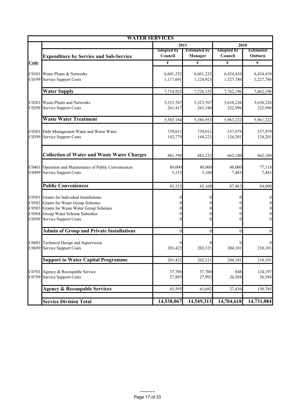|                                           | <b>WATER SERVICES</b>                                                                                                                                                         |                              |                                              |                              |                                                                                              |
|-------------------------------------------|-------------------------------------------------------------------------------------------------------------------------------------------------------------------------------|------------------------------|----------------------------------------------|------------------------------|----------------------------------------------------------------------------------------------|
|                                           |                                                                                                                                                                               | 2011                         |                                              | 2010                         |                                                                                              |
|                                           | <b>Expenditure by Service and Sub-Service</b>                                                                                                                                 | <b>Adopted by</b><br>Council | <b>Estimated by</b><br>Manager               | <b>Adopted by</b><br>Council | <b>Estimated</b><br>Outturn                                                                  |
| Code                                      |                                                                                                                                                                               | $\pmb{\epsilon}$             | €                                            | €                            | $\pmb{\epsilon}$                                                                             |
| C0101<br>C0199                            | Water Plants & Networks<br><b>Service Support Costs</b>                                                                                                                       | 6,601,232<br>1,117,691       | 6,601,232<br>1,124,923                       | 6,434,410<br>1,327,786       | 6,434,410<br>1,227,786                                                                       |
|                                           | <b>Water Supply</b>                                                                                                                                                           | 7,718,923                    | 7,726,155                                    | 7,762,196                    | 7,662,196                                                                                    |
| C0201<br>C0299                            | Waste Plants and Networks<br><b>Service Support Costs</b>                                                                                                                     | 5,323,767<br>261,417         | 5,323,767<br>263,186                         | 5,638,226<br>322,996         | 5,638,226<br>322,996                                                                         |
|                                           | <b>Waste Water Treatment</b>                                                                                                                                                  | 5,585,184                    | 5,586,953                                    | 5,961,222                    | 5,961,222                                                                                    |
| C0301<br>C0399                            | Debt Management Water and Waste Water<br><b>Service Support Costs</b>                                                                                                         | 739,011<br>142,779           | 739,011<br>144,221                           | 537,979<br>124,201           | 537,979<br>124,201                                                                           |
|                                           | <b>Collection of Water and Waste Water Charges</b>                                                                                                                            | 881,790                      | 883,232                                      | 662,180                      | 662,180                                                                                      |
| C0401<br>C0499                            | Operation and Maintenance of Public Conveniences<br><b>Service Support Costs</b>                                                                                              | 80,000<br>5,153              | 80,000<br>5,160                              | 80,000<br>7,483              | 77,118<br>7,483                                                                              |
|                                           | <b>Public Conveniences</b>                                                                                                                                                    | 85,153                       | 85,160                                       | 87,483                       | 84,600                                                                                       |
| C0501<br>C0502<br>C0503<br>C0504<br>C0599 | Grants for Individual Installations<br>Grants for Water Group Schemes<br>Grants for Waste Water Group Schemes<br>Group Water Scheme Subsidies<br><b>Service Support Costs</b> | $\theta$<br>0<br>$\Omega$    | $\Omega$<br>$\Omega$<br>$\Omega$<br>$\Omega$ | 0<br>0                       | $\boldsymbol{0}$<br>$\boldsymbol{0}$<br>$\boldsymbol{0}$<br>$\boldsymbol{0}$<br>$\mathbf{0}$ |
|                                           | <b>Admin of Group and Private Installations</b>                                                                                                                               | $\mathbf{0}$                 | $\mathbf{0}$                                 | $\overline{0}$               | $\mathbf{0}$                                                                                 |
| C0601<br>C0699                            | Technical Design and Supervision<br><b>Service Support Costs</b>                                                                                                              | $\Omega$<br>201,422          | 202,121                                      | 204,101                      | 210,101                                                                                      |
|                                           | <b>Support to Water Capital Programme</b>                                                                                                                                     | 201,422                      | 202,121                                      | 204,101                      | 210,101                                                                                      |
| C0701<br>C0799                            | Agency & Recoupable Service<br><b>Service Support Costs</b>                                                                                                                   | 37,700<br>27,895             | 37,700<br>27,992                             | 848<br>26,588                | 124,197<br>26,588                                                                            |
|                                           | <b>Agency &amp; Recoupable Services</b>                                                                                                                                       | 65,595                       | 65,692                                       | 27,436                       | 150,785                                                                                      |
|                                           | <b>Service Division Total</b>                                                                                                                                                 | 14,538,067                   | 14,549,313                                   | 14,704,618                   | 14,731,084                                                                                   |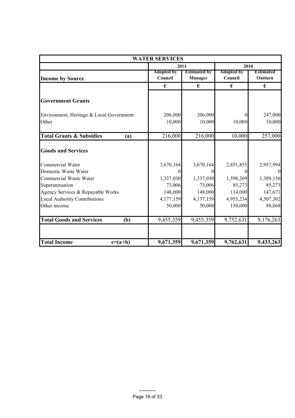| <b>WATER SERVICES</b>                                                     |                              |                                |                              |                             |  |  |
|---------------------------------------------------------------------------|------------------------------|--------------------------------|------------------------------|-----------------------------|--|--|
|                                                                           |                              | 2011                           |                              | 2010                        |  |  |
| <b>Income by Source</b>                                                   | <b>Adopted by</b><br>Council | <b>Estimated by</b><br>Manager | <b>Adopted by</b><br>Council | <b>Estimated</b><br>Outturn |  |  |
|                                                                           | €                            | €                              | €                            | €                           |  |  |
| <b>Government Grants</b>                                                  |                              |                                |                              |                             |  |  |
| Environment, Heritage & Local Government<br>Other                         | 206,000<br>10,000            | 206,000<br>10,000              | 10,000                       | 247,000<br>10,000           |  |  |
| <b>Total Grants &amp; Subsidies</b><br>(a)                                | 216,000                      | 216,000                        | 10,000                       | 257,000                     |  |  |
| <b>Goods and Services</b>                                                 |                              |                                |                              |                             |  |  |
| Commercial Water                                                          | 3,670,164                    | 3,670,164                      | 2,851,855                    | 2,957,994                   |  |  |
| Domestic Waste Water<br><b>Commercial Waste Water</b>                     | $\theta$<br>1,337,030        | 1,337,030                      | 1,598,269                    | 1,389,156                   |  |  |
| Superannuation                                                            | 73,006                       | 73,006<br>148,000              | 85,273<br>114,000            | 85,273                      |  |  |
| Agency Services & Repayable Works<br><b>Local Authority Contributions</b> | 148,000<br>4,177,159         | 4,177,159                      | 4,953,234                    | 147,671<br>4,507,302        |  |  |
| Other income                                                              | 50,000                       | 50,000                         | 150,000                      | 88,868                      |  |  |
| <b>Total Goods and Services</b><br>(b)                                    | 9,455,359                    | 9,455,359                      | 9,752,631                    | 9,176,263                   |  |  |
| <b>Total Income</b><br>$c=(a+b)$                                          | 9,671,359                    | 9,671,359                      | 9,762,631                    | 9,433,263                   |  |  |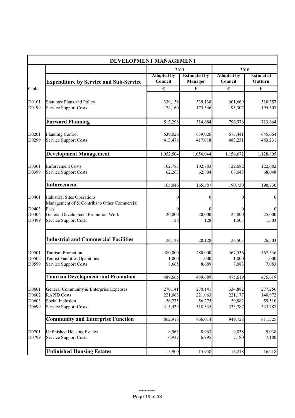|                | DEVELOPMENT MANAGEMENT                                        |                              |                                       |                              |                             |
|----------------|---------------------------------------------------------------|------------------------------|---------------------------------------|------------------------------|-----------------------------|
|                |                                                               | 2011                         |                                       | 2010                         |                             |
|                | <b>Expenditure by Service and Sub-Service</b>                 | <b>Adopted by</b><br>Council | <b>Estimated by</b><br><b>Manager</b> | <b>Adopted by</b><br>Council | <b>Estimated</b><br>Outturn |
| Code           |                                                               | $\overline{\epsilon}$        | $\overline{\epsilon}$                 | $\overline{\epsilon}$        | $\overline{\epsilon}$       |
|                |                                                               |                              |                                       |                              |                             |
| D0101          | <b>Statutory Plans and Policy</b>                             | 339,138                      | 339,138                               | 601,669                      | 518,357                     |
| D0199          | <b>Service Support Costs</b>                                  | 174,160                      | 175,546                               | 195,307                      | 195,307                     |
|                | <b>Forward Planning</b>                                       | 513,298                      | 514,684                               | 796,976                      | 713,664                     |
| D0201          | Planning Control                                              | 639,026                      | 639,026                               | 673,441                      | 645,664                     |
| D0299          | <b>Service Support Costs</b>                                  | 413,478                      | 417,018                               | 483,231                      | 483,231                     |
|                | <b>Development Management</b>                                 | 1,052,504                    | 1,056,044                             | 1,156,672                    | 1,128,895                   |
|                |                                                               |                              |                                       |                              |                             |
| D0301          | <b>Enforcement Costs</b>                                      | 102,783                      | 102,783                               | 122,682                      | 122,682                     |
| D0399          | Service Support Costs                                         | 62,263                       | 62,804                                | 68,048                       | 68,048                      |
|                | <b>Enforcement</b>                                            | 165,046                      | 165,587                               | 190,730                      | 190,730                     |
| D0401          | <b>Industrial Sites Operations</b>                            |                              |                                       | $\boldsymbol{0}$             | $\overline{0}$              |
|                | Management of & Contribs to Other Commercial                  |                              |                                       |                              |                             |
| D0403          | Facs                                                          |                              |                                       | 0                            | $\overline{0}$              |
| D0404          | General Development Promotion Work                            | 20,000                       | 20,000                                | 25,000                       | 25,000                      |
| D0499          | Service Support Costs                                         | 128                          | 128                                   | 1,503                        | 1,503                       |
|                | <b>Industrial and Commercial Facilities</b>                   | 20,128                       | 20,128                                | 26,503                       | 26,503                      |
|                | <b>Tourism Promotion</b>                                      |                              |                                       |                              |                             |
| D0501<br>D0502 | <b>Tourist Facilities Operations</b>                          | 480,000<br>1,000             | 480,000<br>1,000                      | 467,536<br>1,000             | 467,536<br>1,000            |
| D0599          | <b>Service Support Costs</b>                                  | 8,665                        | 8,689                                 | 7,083                        | 7,083                       |
|                | <b>Tourism Development and Promotion</b>                      | 489,665                      | 489,689                               | 475,619                      | 475,619                     |
|                |                                                               |                              |                                       |                              |                             |
| D0601<br>D0602 | General Community & Enterprise Expenses<br><b>RAPID Costs</b> | 270,141<br>221,063           | 270,141<br>221,063                    | 334,882<br>221,177           | 277,256<br>140,972          |
| D0603          | Social Inclusion                                              | 56,275                       | 56,275                                | 59,882                       | 59,510                      |
| D0699          | Service Support Costs                                         | 315,439                      | 318,535                               | 333,787                      | 333,787                     |
|                | <b>Community and Enterprise Function</b>                      | 862,918                      | 866,014                               | 949,728                      | 811,525                     |
| D0701          | <b>Unfinished Housing Estates</b>                             | 8,963                        | 8,963                                 | 9,038                        | 9,038                       |
| D0799          | <b>Service Support Costs</b>                                  | 6,937                        | 6,995                                 | 7,180                        | 7,180                       |
|                | <b>Unfinished Housing Estates</b>                             | 15,900                       | 15,958                                | 16,218                       | 16,218                      |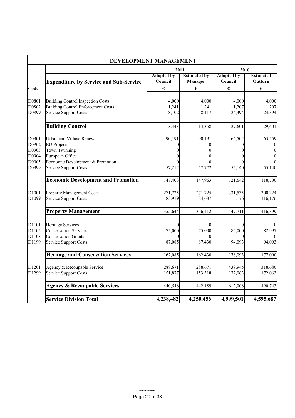|                                                    | DEVELOPMENT MANAGEMENT                                                                                                                                         |                              |                                |                              |                                   |
|----------------------------------------------------|----------------------------------------------------------------------------------------------------------------------------------------------------------------|------------------------------|--------------------------------|------------------------------|-----------------------------------|
|                                                    |                                                                                                                                                                | 2011                         |                                | 2010                         |                                   |
|                                                    | <b>Expenditure by Service and Sub-Service</b>                                                                                                                  | <b>Adopted by</b><br>Council | <b>Estimated by</b><br>Manager | <b>Adopted by</b><br>Council | <b>Estimated</b><br>Outturn       |
| Code                                               |                                                                                                                                                                | $\overline{\epsilon}$        | $\overline{\epsilon}$          | $\overline{\epsilon}$        | $\overline{\epsilon}$             |
| D0801<br>D0802<br>D0899                            | <b>Building Control Inspection Costs</b><br><b>Building Control Enforcement Costs</b><br><b>Service Support Costs</b>                                          | 4,000<br>1,241<br>8,102      | 4,000<br>1,241<br>8,117        | 4,000<br>1,207<br>24,394     | 4,000<br>1,207<br>24,394          |
|                                                    | <b>Building Control</b>                                                                                                                                        | 13,343                       | 13,358                         | 29,601                       | 29,601                            |
| D0901<br>D0902<br>D0903<br>D0904<br>D0905<br>D0999 | Urban and Village Renewal<br><b>EU</b> Projects<br><b>Town Twinning</b><br>European Office<br>Economic Development & Promotion<br><b>Service Support Costs</b> | 90,191<br>57,212             | 90,191<br>0<br>57,772          | 66,502<br>$\theta$<br>55,140 | 63,559<br>$\theta$<br>0<br>55,140 |
|                                                    | <b>Economic Development and Promotion</b>                                                                                                                      | 147,403                      | 147,963                        | 121,642                      | 118,700                           |
| D1001<br>D1099                                     | <b>Property Management Costs</b><br><b>Service Support Costs</b>                                                                                               | 271,725<br>83,919            | 271,725<br>84,687              | 331,535<br>116,176           | 300,224<br>116,176                |
|                                                    | <b>Property Management</b>                                                                                                                                     | 355,644                      | 356,412                        | 447,711                      | 416,399                           |
| D1101<br>D1102<br>D1103<br>D1199                   | Heritage Services<br><b>Conservation Services</b><br><b>Conservation Grants</b><br><b>Service Support Costs</b>                                                | 75,000<br>87,085             | 75,000<br>87,430               | $\theta$<br>82,000<br>94,093 | 82,997<br>94,093                  |
|                                                    | <b>Heritage and Conservation Services</b>                                                                                                                      | 162,085                      | 162,430                        | 176,093                      | 177,090                           |
| D1201<br>D1299                                     | Agency & Recoupable Service<br><b>Service Support Costs</b>                                                                                                    | 288,671<br>151,877           | 288,671<br>153,518             | 439,945<br>172,063           | 318,680<br>172,063                |
|                                                    | <b>Agency &amp; Recoupable Services</b>                                                                                                                        | 440,548                      | 442,189                        | 612,008                      | 490,743                           |
|                                                    | <b>Service Division Total</b>                                                                                                                                  | 4,238,482                    | 4,250,456                      | 4,999,501                    | 4,595,687                         |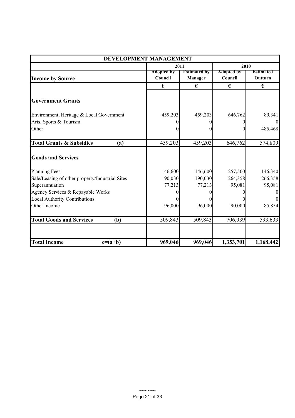| DEVELOPMENT MANAGEMENT                          |                              |                                |                              |                      |  |
|-------------------------------------------------|------------------------------|--------------------------------|------------------------------|----------------------|--|
|                                                 | 2011                         |                                | 2010                         |                      |  |
| <b>Income by Source</b>                         | <b>Adopted by</b><br>Council | <b>Estimated by</b><br>Manager | <b>Adopted by</b><br>Council | Estimated<br>Outturn |  |
|                                                 | €                            | €                              | €                            | €                    |  |
| <b>Government Grants</b>                        |                              |                                |                              |                      |  |
| Environment, Heritage & Local Government        | 459,203                      | 459,203                        | 646,762                      | 89,341               |  |
| Arts, Sports & Tourism                          | 0                            |                                |                              | $\overline{0}$       |  |
| Other                                           | $\theta$                     |                                |                              | 485,468              |  |
| <b>Total Grants &amp; Subsidies</b><br>(a)      | 459,203                      | 459,203                        | 646,762                      | 574,809              |  |
| <b>Goods and Services</b>                       |                              |                                |                              |                      |  |
| <b>Planning Fees</b>                            | 146,600                      | 146,600                        | 257,500                      | 146,340              |  |
| Sale/Leasing of other property/Industrial Sites | 190,030                      | 190,030                        | 264,358                      | 266,358              |  |
| Superannuation                                  | 77,213                       | 77,213                         | 95,081                       | 95,081               |  |
| Agency Services & Repayable Works               | 0                            |                                |                              | $\boldsymbol{0}$     |  |
| <b>Local Authority Contributions</b>            | $\Omega$                     |                                |                              | $\Omega$             |  |
| Other income                                    | 96,000                       | 96,000                         | 90,000                       | 85,854               |  |
| <b>Total Goods and Services</b><br>(b)          | 509,843                      | 509,843                        | 706,939                      | 593,633              |  |
| <b>Total Income</b><br>$c=(a+b)$                | 969,046                      | 969,046                        | 1,353,701                    | 1,168,442            |  |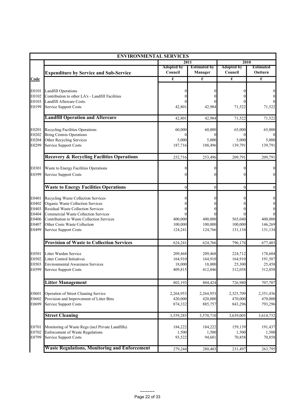|                | <b>ENVIRONMENTAL SERVICES</b>                                                    |                      |                      |                       |                      |
|----------------|----------------------------------------------------------------------------------|----------------------|----------------------|-----------------------|----------------------|
|                |                                                                                  |                      | 2011                 |                       | 2010                 |
|                |                                                                                  | <b>Adopted by</b>    | <b>Estimated by</b>  | <b>Adopted by</b>     | <b>Estimated</b>     |
|                | <b>Expenditure by Service and Sub-Service</b>                                    | Council              | Manager              | Council               | Outturn              |
| Code           |                                                                                  | €                    | €                    | $\overline{\epsilon}$ | €                    |
|                |                                                                                  |                      |                      |                       |                      |
| E0101<br>E0102 | <b>Landfill Operations</b><br>Contribution to other LA's - Landfill Facilities   |                      | $\theta$             |                       |                      |
| E0103          | Landfill Aftercare Costs.                                                        |                      |                      |                       |                      |
| E0199          | <b>Service Support Costs</b>                                                     | 42,801               | 42,984               | 71,522                | 71,522               |
|                |                                                                                  |                      |                      |                       |                      |
|                | <b>Landfill Operation and Aftercare</b>                                          | 42,801               | 42,984               | 71,522                | 71,522               |
| E0201          | Recycling Facilities Operations                                                  | 60,000               | 60,000               | 65,000                | 65,000               |
| E0202          | <b>Bring Centres Operations</b>                                                  |                      | $\Omega$             |                       |                      |
| E0204          | Other Recycling Services                                                         | 5,000                | 5,000                | 5,000                 | 5,000                |
| E0299          | <b>Service Support Costs</b>                                                     | 187,716              | 188,496              | 139,791               | 139,791              |
|                | <b>Recovery &amp; Recycling Facilities Operations</b>                            | 252,716              | 253,496              | 209,791               | 209,791              |
| E0301          | Waste to Energy Facilities Operations                                            |                      | $\boldsymbol{0}$     |                       | 0                    |
| E0399          | Service Support Costs                                                            |                      | $\theta$             |                       | $\theta$             |
|                |                                                                                  |                      |                      |                       |                      |
|                | <b>Waste to Energy Facilities Operations</b>                                     | $\overline{0}$       | $\mathbf{0}$         | $\mathbf{0}$          | $\mathbf{0}$         |
| E0401          | Recycling Waste Collection Services                                              |                      | $\theta$             | 0                     | 0                    |
| E0402          | Organic Waste Collection Services                                                |                      |                      |                       | $\boldsymbol{0}$     |
| E0403          | <b>Residual Waste Collection Services</b>                                        |                      |                      |                       | $\mathbf{0}$         |
| E0404          | <b>Commercial Waste Collection Services</b>                                      |                      |                      |                       |                      |
| E0406          | Contribution to Waste Collection Services                                        | 400,000              | 400,000              | 565,040               | 400,000              |
| E0407<br>E0499 | Other Costs Waste Collection<br>Service Support Costs                            | 100,000              | 100,000<br>124,766   | 100,000               | 146,269<br>131,134   |
|                |                                                                                  | 124,241              |                      | 131,134               |                      |
|                | <b>Provision of Waste to Collection Services</b>                                 | 624,241              | 624,766              | 796,174               | 677,403              |
| E0501          | Litter Warden Service                                                            | 209,468              | 209,468              | 224,712               | 178,604              |
| E0502          | <b>Litter Control Initiatives</b>                                                | 164,910              | 164,910              | 164,910               | 191,587              |
| E0503          | <b>Environmental Awareness Services</b>                                          | 18,000               | 18,000               | 25,300                | 25,458               |
| E0599          | Service Support Costs                                                            | 409,815              | 412,046              | 312,058               | 312,058              |
|                | <b>Litter Management</b>                                                         | 802,193              | 804,424              | 726,980               | 707,707              |
|                |                                                                                  |                      |                      |                       |                      |
| E0601<br>E0602 | Operation of Street Cleaning Service<br>Provision and Improvement of Litter Bins | 2,264,953<br>420,000 | 2,264,953<br>420,000 | 2,325,709<br>470,000  | 2,351,436<br>470,000 |
| E0699          | <b>Service Support Costs</b>                                                     | 874,332              | 885,757              | 843,296               | 793,296              |
|                |                                                                                  |                      |                      |                       |                      |
|                | <b>Street Cleaning</b>                                                           | 3,559,285            | 3,570,710            | 3,639,005             | 3,614,732            |
| E0701          | Monitoring of Waste Regs (incl Private Landfills)                                | 184,222              | 184,222              | 159,139               | 191,437              |
| E0702          | <b>Enforcement of Waste Regulations</b>                                          | 1,500                | 1,500                | 1,500                 | 1,500                |
| E0799          | <b>Service Support Costs</b>                                                     | 93,522               | 94,681               | 70,858                | 70,858               |
|                | <b>Waste Regulations, Monitoring and Enforcement</b>                             | 279,244              | 280,403              | 231,497               | 263,795              |
|                |                                                                                  |                      |                      |                       |                      |

 $\sim$  ~~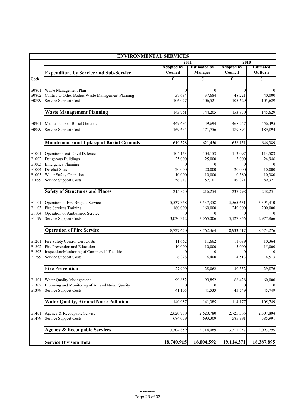|                |                                                                            | <b>ENVIRONMENTAL SERVICES</b> |                       |                       |                      |
|----------------|----------------------------------------------------------------------------|-------------------------------|-----------------------|-----------------------|----------------------|
|                |                                                                            | 2011                          |                       | 2010                  |                      |
|                |                                                                            | <b>Adopted by</b>             | <b>Estimated by</b>   | <b>Adopted by</b>     | <b>Estimated</b>     |
|                | <b>Expenditure by Service and Sub-Service</b>                              | Council                       | <b>Manager</b>        | Council               | Outturn              |
| Code           |                                                                            | €                             | $\overline{\epsilon}$ | $\overline{\epsilon}$ | €                    |
|                |                                                                            |                               |                       |                       |                      |
| E0801<br>E0802 | Waste Management Plan<br>Contrib to Other Bodies Waste Management Planning | $\Omega$<br>37,684            | 37,684                | 0<br>48,221           | $\theta$<br>40,000   |
| E0899          | <b>Service Support Costs</b>                                               | 106,077                       | 106,521               | 105,629               | 105,629              |
|                |                                                                            |                               |                       |                       |                      |
|                | <b>Waste Management Planning</b>                                           | 143,761                       | 144,205               | 153,850               | 145,629              |
| E0901          | Maintenance of Burial Grounds                                              | 449,694                       | 449,694               | 468,257               | 456,495              |
| E0999          | <b>Service Support Costs</b>                                               | 169,634                       | 171,756               | 189,894               | 189,894              |
|                |                                                                            |                               |                       |                       |                      |
|                | <b>Maintenance and Upkeep of Burial Grounds</b>                            | 619,328                       | 621,450               | 658,151               | 646,389              |
|                |                                                                            |                               |                       |                       |                      |
| E1001<br>E1002 | <b>Operation Costs Civil Defence</b><br>Dangerous Buildings                | 104,153<br>25,000             | 104,153<br>25,000     | 113,097<br>5,000      | 113,583<br>24,946    |
| E1003          | <b>Emergency Planning</b>                                                  | $\Omega$                      |                       |                       |                      |
| E1004          | <b>Derelict Sites</b>                                                      | 20,000                        | 20,000                | 20,000                | 10,000               |
| E1005          | Water Safety Operation                                                     | 10,000                        | 10,000                | 10,380                | 10,380               |
| E1099          | <b>Service Support Costs</b>                                               | 56,717                        | 57,101                | 89,321                | 89,321               |
|                | <b>Safety of Structures and Places</b>                                     | 215,870                       | 216,254               | 237,798               | 248,231              |
|                |                                                                            |                               |                       |                       |                      |
| E1101          | Operation of Fire Brigade Service                                          | 5,537,358                     | 5,537,358             | 5,565,651             | 5,395,410            |
| E1103          | Fire Services Training                                                     | 160,000                       | 160,000               | 240,000               | 200,000              |
| E1104          | Operation of Ambulance Service                                             | 0                             |                       | $\theta$              |                      |
| E1199          | <b>Service Support Costs</b>                                               | 3,030,312                     | 3,065,006             | 3,127,866             | 2,977,866            |
|                | <b>Operation of Fire Service</b>                                           | 8,727,670                     | 8,762,364             | 8,933,517             | 8,573,276            |
| E1201          | Fire Safety Control Cert Costs                                             | 11,662                        | 11,662                | 11,039                | 10,364               |
| E1202          | Fire Prevention and Education                                              | 10,000                        | 10,000                | 15,000                | 15,000               |
| E1203          | Inspection/Monitoring of Commercial Facilities                             | 0                             |                       |                       |                      |
| E1299          | <b>Service Support Costs</b>                                               | 6,328                         | 6,400                 | 4,513                 | 4,513                |
|                | <b>Fire Prevention</b>                                                     | 27,990                        | 28,062                | 30,552                | 29,876               |
| E1301          | Water Quality Management                                                   | 99,852                        | 99,852                | 68,428                | 60,000               |
| E1302          | Licensing and Monitoring of Air and Noise Quality                          |                               |                       |                       |                      |
| E1399          | <b>Service Support Costs</b>                                               | 41,105                        | 41,533                | 45,749                | 45,749               |
|                | <b>Water Quality, Air and Noise Pollution</b>                              | 140,957                       | 141,385               | 114,177               | 105,749              |
|                |                                                                            |                               |                       |                       |                      |
| E1401<br>E1499 | Agency & Recoupable Service<br><b>Service Support Costs</b>                | 2,620,780<br>684,079          | 2,620,780<br>693,309  | 2,725,366<br>585,991  | 2,507,804<br>585,991 |
|                |                                                                            |                               |                       |                       |                      |
|                | <b>Agency &amp; Recoupable Services</b>                                    | 3,304,859                     | 3,314,089             | 3,311,357             | 3,093,795            |
|                | <b>Service Division Total</b>                                              | 18,740,915                    | 18,804,592            | 19,114,371            | 18,387,895           |
|                |                                                                            |                               |                       |                       |                      |

 $\sim$ ~~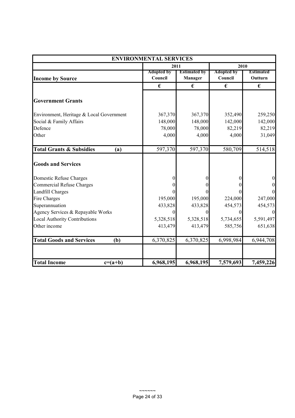| <b>ENVIRONMENTAL SERVICES</b>              |                              |                                |                              |                             |  |  |
|--------------------------------------------|------------------------------|--------------------------------|------------------------------|-----------------------------|--|--|
|                                            | 2011                         |                                | 2010                         |                             |  |  |
| <b>Income by Source</b>                    | <b>Adopted by</b><br>Council | <b>Estimated by</b><br>Manager | <b>Adopted by</b><br>Council | <b>Estimated</b><br>Outturn |  |  |
|                                            | €                            | €                              | €                            | €                           |  |  |
| <b>Government Grants</b>                   |                              |                                |                              |                             |  |  |
| Environment, Heritage & Local Government   | 367,370                      | 367,370                        | 352,490                      | 259,250                     |  |  |
| Social & Family Affairs                    | 148,000                      | 148,000                        | 142,000                      | 142,000                     |  |  |
| Defence                                    | 78,000                       | 78,000                         | 82,219                       | 82,219                      |  |  |
| Other                                      | 4,000                        | 4,000                          | 4,000                        | 31,049                      |  |  |
| <b>Total Grants &amp; Subsidies</b><br>(a) | 597,370                      | 597,370                        | 580,709                      | 514,518                     |  |  |
| <b>Goods and Services</b>                  |                              |                                |                              |                             |  |  |
| Domestic Refuse Charges                    |                              | 0                              |                              | $\boldsymbol{0}$            |  |  |
| <b>Commercial Refuse Charges</b>           |                              |                                |                              | $\boldsymbol{0}$            |  |  |
| <b>Landfill Charges</b>                    |                              |                                |                              | $\overline{0}$              |  |  |
| Fire Charges                               | 195,000                      | 195,000                        | 224,000                      | 247,000                     |  |  |
| Superannuation                             | 433,828                      | 433,828                        | 454,573                      | 454,573                     |  |  |
| Agency Services & Repayable Works          | 0                            | $\theta$                       | $\Omega$                     | $\boldsymbol{0}$            |  |  |
| <b>Local Authority Contributions</b>       | 5,328,518                    | 5,328,518                      | 5,734,655                    | 5,591,497                   |  |  |
| Other income                               | 413,479                      | 413,479                        | 585,756                      | 651,638                     |  |  |
| <b>Total Goods and Services</b><br>(b)     | 6,370,825                    | 6,370,825                      | 6,998,984                    | 6,944,708                   |  |  |
|                                            |                              |                                |                              |                             |  |  |
| <b>Total Income</b><br>$c=(a+b)$           | 6,968,195                    | 6,968,195                      | 7,579,693                    | 7,459,226                   |  |  |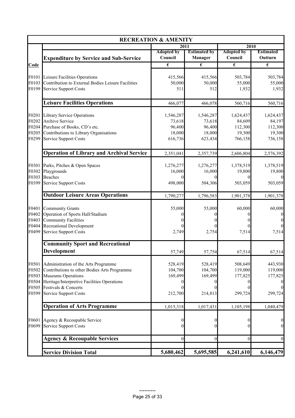|                                           |                                                                                                                                                                                   | <b>RECREATION &amp; AMENITY</b>                        |                                                             |                                                     |                                                     |
|-------------------------------------------|-----------------------------------------------------------------------------------------------------------------------------------------------------------------------------------|--------------------------------------------------------|-------------------------------------------------------------|-----------------------------------------------------|-----------------------------------------------------|
|                                           |                                                                                                                                                                                   |                                                        | 2011                                                        | 2010                                                |                                                     |
|                                           | <b>Expenditure by Service and Sub-Service</b>                                                                                                                                     | <b>Adopted by</b><br>Council                           | <b>Estimated by</b><br>Manager                              | <b>Adopted by</b><br>Council                        | <b>Estimated</b><br>Outturn                         |
| Code                                      |                                                                                                                                                                                   | $\overline{\epsilon}$                                  | $\pmb{\epsilon}$                                            | €                                                   | $\pmb{\epsilon}$                                    |
| F0101<br>F0103<br>F0199                   | Leisure Facilities Operations<br>Contribution to External Bodies Leisure Facilities<br><b>Service Support Costs</b>                                                               | 415,566<br>50,000<br>511                               | 415,566<br>50,000<br>512                                    | 503,784<br>55,000<br>1,932                          | 503,784<br>55,000<br>1,932                          |
|                                           | <b>Leisure Facilities Operations</b>                                                                                                                                              | 466,077                                                | 466,078                                                     | 560,716                                             | 560,716                                             |
| F0201<br>F0202<br>F0205<br>F0299          | <b>Library Service Operations</b><br><b>Archive Service</b><br>F0204 Purchase of Books, CD's etc.<br>Contributions to Library Organisations<br><b>Service Support Costs</b>       | 1,546,287<br>73,618<br>96,400<br>18,000<br>616,736     | 1,546,287<br>73,618<br>96,400<br>18,000<br>623,434          | 1,624,437<br>84,609<br>112,300<br>19,300<br>766,158 | 1,624,437<br>84,197<br>112,300<br>19,300<br>736,158 |
|                                           | <b>Operation of Library and Archival Service</b>                                                                                                                                  | 2,351,041                                              | 2,357,739                                                   | 2,606,804                                           | 2,576,392                                           |
| F0301<br>F0302<br>F0399                   | Parks, Pitches & Open Spaces<br>Playgrounds<br>F0303 Beaches<br><b>Service Support Costs</b>                                                                                      | 1,276,277<br>16,000<br>0<br>498,000                    | 1,276,277<br>16,000<br>$\theta$<br>504,306                  | 1,378,519<br>19,800<br>$\theta$<br>503,059          | 1,378,519<br>19,800<br>$\Omega$<br>503,059          |
|                                           | <b>Outdoor Leisure Areas Operations</b>                                                                                                                                           | 1,790,277                                              | 1,796,583                                                   | 1,901,378                                           | 1,901,378                                           |
| F0401<br>F0402<br>F0403<br>F0404<br>F0499 | <b>Community Grants</b><br>Operation of Sports Hall/Stadium<br><b>Community Facilities</b><br><b>Recreational Development</b><br><b>Service Support Costs</b>                     | 55,000<br>0<br>0<br>2,749                              | 55,000<br>0<br>$\Omega$<br>$\Omega$<br>2,754                | 60,000<br>0<br>0<br>7,514                           | 60,000<br>7,514                                     |
|                                           | <b>Community Sport and Recreational</b>                                                                                                                                           |                                                        |                                                             |                                                     |                                                     |
|                                           | Development                                                                                                                                                                       | 57,749                                                 | 57,754                                                      | 67,514                                              | 67,514                                              |
| F0501<br>F0502<br>F0503<br>F0504<br>F0505 | Administration of the Arts Programme<br>Contributions to other Bodies Arts Programme<br>Museums Operations<br>Heritage/Interpretive Facilities Operations<br>Festivals & Concerts | 528,419<br>104,700<br>169,499<br>$\boldsymbol{0}$<br>0 | 528,419<br>104,700<br>169,499<br>$\overline{0}$<br>$\theta$ | 508,649<br>119,000<br>177,825<br>$\theta$           | 443,930<br>119,000<br>177,825<br>$\theta$           |
| F0599                                     | <b>Service Support Costs</b>                                                                                                                                                      | 212,700                                                | 214,813                                                     | 299,724                                             | 299,724                                             |
|                                           | <b>Operation of Arts Programme</b>                                                                                                                                                | 1,015,318                                              | 1,017,431                                                   | 1,105,198                                           | 1,040,479                                           |
| F0601<br>F0699                            | Agency & Recoupable Service<br><b>Service Support Costs</b>                                                                                                                       | 0<br>0                                                 | $\boldsymbol{0}$<br>$\theta$                                | $\bf{0}$<br>$\mathbf{0}$                            | $\mathbf{0}$<br>$\boldsymbol{0}$                    |
|                                           | <b>Agency &amp; Recoupable Services</b>                                                                                                                                           | $\mathbf{0}$                                           | $\mathbf{0}$                                                | $\boldsymbol{0}$                                    | $\boldsymbol{0}$                                    |
|                                           | <b>Service Division Total</b>                                                                                                                                                     | 5,680,462                                              | 5,695,585                                                   | 6,241,610                                           | 6,146,479                                           |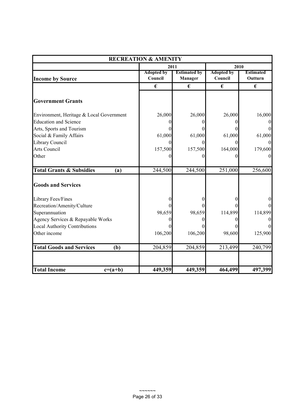|                                            | <b>RECREATION &amp; AMENITY</b> |                                |                              |                             |  |  |  |
|--------------------------------------------|---------------------------------|--------------------------------|------------------------------|-----------------------------|--|--|--|
|                                            | 2011                            |                                | 2010                         |                             |  |  |  |
| <b>Income by Source</b>                    | <b>Adopted by</b><br>Council    | <b>Estimated by</b><br>Manager | <b>Adopted by</b><br>Council | <b>Estimated</b><br>Outturn |  |  |  |
|                                            | €                               | €                              | €                            | €                           |  |  |  |
| <b>Government Grants</b>                   |                                 |                                |                              |                             |  |  |  |
| Environment, Heritage & Local Government   | 26,000                          | 26,000                         | 26,000                       | 16,000                      |  |  |  |
| <b>Education and Science</b>               |                                 |                                |                              |                             |  |  |  |
| Arts, Sports and Tourism                   |                                 |                                |                              |                             |  |  |  |
| Social & Family Affairs                    | 61,000                          | 61,000                         | 61,000                       | 61,000                      |  |  |  |
| Library Council                            |                                 | 0                              |                              |                             |  |  |  |
| Arts Council                               | 157,500                         | 157,500                        | 164,000                      | 179,600                     |  |  |  |
| Other                                      |                                 |                                |                              |                             |  |  |  |
| <b>Total Grants &amp; Subsidies</b><br>(a) | 244,500                         | 244,500                        | 251,000                      | 256,600                     |  |  |  |
| <b>Goods and Services</b>                  |                                 |                                |                              |                             |  |  |  |
| Library Fees/Fines                         |                                 |                                |                              |                             |  |  |  |
| Recreation/Amenity/Culture                 |                                 |                                |                              |                             |  |  |  |
| Superannuation                             | 98,659                          | 98,659                         | 114,899                      | 114,899                     |  |  |  |
| Agency Services & Repayable Works          |                                 |                                |                              |                             |  |  |  |
| <b>Local Authority Contributions</b>       |                                 |                                |                              |                             |  |  |  |
| Other income                               | 106,200                         | 106,200                        | 98,600                       | 125,900                     |  |  |  |
| <b>Total Goods and Services</b><br>(b)     | 204,859                         | 204,859                        | 213,499                      | 240,799                     |  |  |  |
| <b>Total Income</b><br>$c=(a+b)$           | 449,359                         | 449,359                        | 464,499                      | 497,399                     |  |  |  |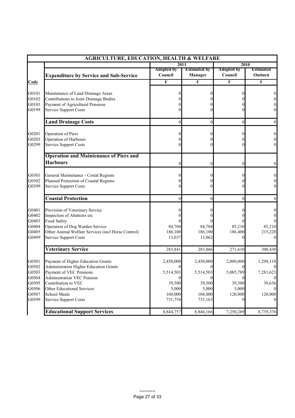| <b>AGRICULTURE, EDUCATION, HEALTH &amp; WELFARE</b> |                                                                               |                            |                            |                       |                                      |
|-----------------------------------------------------|-------------------------------------------------------------------------------|----------------------------|----------------------------|-----------------------|--------------------------------------|
|                                                     |                                                                               | 2011<br>2010               |                            |                       |                                      |
|                                                     |                                                                               | <b>Adopted by</b>          | <b>Estimated by</b>        | <b>Adopted by</b>     | <b>Estimated</b>                     |
|                                                     | <b>Expenditure by Service and Sub-Service</b>                                 | Council                    | Manager                    | Council               | Outturn                              |
| Code                                                |                                                                               | $\epsilon$                 | €                          | $\overline{\epsilon}$ | $\overline{\epsilon}$                |
| G0101                                               | Maintenance of Land Drainage Areas                                            | $_{0}$                     |                            |                       | $\boldsymbol{0}$                     |
| G0102                                               | Contributions to Joint Drainage Bodies                                        |                            |                            |                       | $\boldsymbol{0}$                     |
| G0103                                               | Payment of Agricultural Pensions                                              |                            |                            |                       | $\vert 0 \vert$                      |
| G0199                                               | <b>Service Support Costs</b>                                                  |                            |                            |                       | $\boldsymbol{0}$                     |
|                                                     |                                                                               |                            |                            |                       |                                      |
|                                                     | <b>Land Drainage Costs</b>                                                    | $\mathbf{0}$               | $\overline{0}$             | $\overline{0}$        | $\overline{0}$                       |
| G0201                                               | Operation of Piers                                                            |                            |                            |                       |                                      |
| G0203                                               | Operation of Harbours                                                         |                            |                            |                       | $\boldsymbol{0}$<br>$\boldsymbol{0}$ |
| G0299                                               | Service Support Costs                                                         |                            |                            |                       | $\mathbf{0}$                         |
|                                                     |                                                                               |                            |                            |                       |                                      |
|                                                     | <b>Operation and Maintenance of Piers and</b>                                 |                            |                            |                       |                                      |
|                                                     | <b>Harbours</b>                                                               | $\Omega$                   |                            | 0                     | 0                                    |
|                                                     |                                                                               |                            |                            |                       |                                      |
| G0301<br>G0302                                      | General Maintenance - Costal Regions<br>Planned Protection of Coastal Regions | 0                          |                            |                       | $\boldsymbol{0}$<br>$\boldsymbol{0}$ |
| G0399                                               | <b>Service Support Costs</b>                                                  |                            |                            |                       | $\boldsymbol{0}$                     |
|                                                     |                                                                               |                            |                            |                       |                                      |
|                                                     | <b>Coastal Protection</b>                                                     | $\theta$                   | $\Omega$                   | $\theta$              | $\overline{0}$                       |
| G0401                                               | Provision of Veterinary Service                                               |                            |                            |                       | 0                                    |
| G0402                                               | Inspection of Abattoirs etc                                                   |                            |                            |                       |                                      |
| G0403                                               | Food Safety                                                                   |                            |                            |                       | $\theta$                             |
| G0404                                               | Operation of Dog Warden Service                                               | 84,704                     | 84,704                     | 85,210                | 85,210                               |
| G0405                                               | Other Animal Welfare Services (incl Horse Control)                            | 186,100                    | 186,100                    | 186,400               | 215,220                              |
| G0499                                               | Service Support Costs                                                         | 13,037                     | 13,062                     |                       |                                      |
|                                                     | <b>Veterinary Service</b>                                                     | 283,841                    | 283,866                    | 271,610               | 300,430                              |
|                                                     |                                                                               |                            |                            |                       |                                      |
| G0501                                               | Payment of Higher Education Grants                                            | 2,450,000                  | 2,450,000                  | 2,000,000             | 1,298,118                            |
| G0502                                               | <b>Administration Higher Education Grants</b>                                 |                            |                            |                       |                                      |
| G0503                                               | Payment of VEC Pensions                                                       | 5,514,503                  | 5,514,503                  | 5,085,789             | 7,281,623                            |
| G0504<br>G0505                                      | Administration VEC Pension<br>Contribution to VEC                             | $\boldsymbol{0}$<br>39,500 | $\boldsymbol{0}$<br>39,500 | 39,500                | $\mathbf{0}$<br>39,636               |
| G0506                                               | Other Educational Services                                                    | 5,000                      | 5,000                      | 5,000                 | $\overline{0}$                       |
| G0507                                               | School Meals                                                                  | 104,000                    | 104,000                    | 120,000               | 120,000                              |
| G0599                                               | <b>Service Support Costs</b>                                                  | 731,754                    | 733,163                    |                       | $\overline{0}$                       |
|                                                     | <b>Educational Support Services</b>                                           | 8,844,757                  | 8,846,166                  | 7,250,289             | 8,739,376                            |
|                                                     |                                                                               |                            |                            |                       |                                      |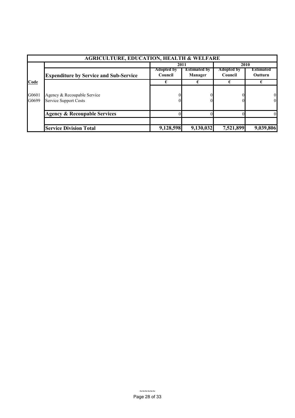| <b>AGRICULTURE, EDUCATION, HEALTH &amp; WELFARE</b> |                                                             |                   |                     |                   |                                  |  |
|-----------------------------------------------------|-------------------------------------------------------------|-------------------|---------------------|-------------------|----------------------------------|--|
|                                                     |                                                             |                   | 2011                | 2010              |                                  |  |
|                                                     |                                                             | <b>Adopted by</b> | <b>Estimated by</b> | <b>Adopted by</b> | <b>Estimated</b>                 |  |
|                                                     | <b>Expenditure by Service and Sub-Service</b>               | Council           | Manager             | Council           | Outturn                          |  |
| Code                                                |                                                             |                   |                     |                   |                                  |  |
| G0601<br>G0699                                      | Agency & Recoupable Service<br><b>Service Support Costs</b> |                   |                     |                   | $\overline{0}$<br>$\overline{0}$ |  |
|                                                     | <b>Agency &amp; Recoupable Services</b>                     |                   |                     |                   | $\Omega$                         |  |
|                                                     |                                                             |                   |                     |                   |                                  |  |
|                                                     | <b>Service Division Total</b>                               | 9,128,598         | 9,130,032           | 7,521,899         | 9,039,806                        |  |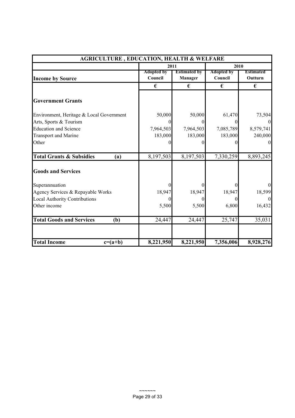| <b>AGRICULTURE, EDUCATION, HEALTH &amp; WELFARE</b> |                              |                                |                              |                             |  |
|-----------------------------------------------------|------------------------------|--------------------------------|------------------------------|-----------------------------|--|
|                                                     |                              | 2011                           |                              | 2010                        |  |
| <b>Income by Source</b>                             | <b>Adopted by</b><br>Council | <b>Estimated by</b><br>Manager | <b>Adopted by</b><br>Council | <b>Estimated</b><br>Outturn |  |
|                                                     | €                            | €                              | €                            | €                           |  |
| <b>Government Grants</b>                            |                              |                                |                              |                             |  |
| Environment, Heritage & Local Government            | 50,000                       | 50,000                         | 61,470                       | 73,504                      |  |
| Arts, Sports & Tourism                              |                              | $\Omega$                       | $\theta$                     | $\Omega$                    |  |
| <b>Education and Science</b>                        | 7,964,503                    | 7,964,503                      | 7,085,789                    | 8,579,741                   |  |
| <b>Transport and Marine</b>                         | 183,000                      | 183,000                        | 183,000                      | 240,000                     |  |
| Other                                               |                              | 0                              |                              | $\Omega$                    |  |
| <b>Total Grants &amp; Subsidies</b><br>(a)          | 8,197,503                    | 8,197,503                      | 7,330,259                    | 8,893,245                   |  |
| <b>Goods and Services</b>                           |                              |                                |                              |                             |  |
| Superannuation                                      |                              |                                |                              | $\overline{0}$              |  |
| Agency Services & Repayable Works                   | 18,947                       | 18,947                         | 18,947                       | 18,599                      |  |
| <b>Local Authority Contributions</b>                |                              | 0                              |                              | $\overline{0}$              |  |
| Other income                                        | 5,500                        | 5,500                          | 6,800                        | 16,432                      |  |
| <b>Total Goods and Services</b><br>(b)              | 24,447                       | 24,447                         | 25,747                       | 35,031                      |  |
| <b>Total Income</b><br>$c=(a+b)$                    | 8,221,950                    | 8,221,950                      | 7,356,006                    | 8,928,276                   |  |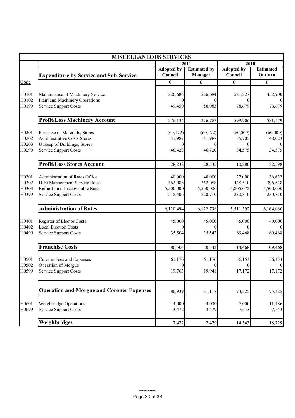|                                  | <b>MISCELLANEOUS SERVICES</b>                                                                                                      |                                           |                                           |                                           |                                           |
|----------------------------------|------------------------------------------------------------------------------------------------------------------------------------|-------------------------------------------|-------------------------------------------|-------------------------------------------|-------------------------------------------|
|                                  |                                                                                                                                    |                                           | 2011                                      | 2010                                      |                                           |
|                                  | <b>Expenditure by Service and Sub-Service</b>                                                                                      | <b>Adopted by</b><br>Council              | <b>Estimated by</b><br>Manager            | <b>Adopted by</b><br>Council              | <b>Estimated</b><br>Outturn               |
| Code                             |                                                                                                                                    | $\overline{\epsilon}$                     | €                                         | $\overline{\epsilon}$                     | $\overline{\epsilon}$                     |
| H0101                            | Maintenance of Machinery Service                                                                                                   | 226,684                                   | 226,684                                   | 521,227                                   | 452,900                                   |
| H0102<br>H0199                   | Plant and Machinery Operations<br><b>Service Support Costs</b>                                                                     | 49,450                                    | 50,083                                    | 78,679                                    | 78,679                                    |
|                                  | <b>Profit/Loss Machinery Account</b>                                                                                               | 276,134                                   | 276,767                                   | 599,906                                   | 531,579                                   |
| H0201<br>H0202                   | Purchase of Materials, Stores<br><b>Administrative Costs Stores</b>                                                                | (60, 172)<br>41,987                       | (60, 172)<br>41,987                       | (60,000)<br>35,705                        | (60,000)<br>48,023                        |
| H0203<br>H0299                   | Upkeep of Buildings, Stores<br><b>Service Support Costs</b>                                                                        | 46,423                                    | 46,720                                    | 34,575                                    | 34,575                                    |
|                                  | <b>Profit/Loss Stores Account</b>                                                                                                  | 28,238                                    | 28,535                                    | 10,280                                    | 22,598                                    |
| H0301<br>H0302<br>H0303<br>H0399 | Administration of Rates Office<br>Debt Management Service Rates<br>Refunds and Irrecoverable Rates<br><b>Service Support Costs</b> | 40,000<br>362,088<br>5,500,000<br>218,406 | 40,000<br>362,088<br>5,500,000<br>220,710 | 27,000<br>448,510<br>4,805,072<br>230,810 | 36,632<br>396,618<br>5,500,000<br>230,810 |
|                                  | <b>Administration of Rates</b>                                                                                                     | 6,120,494                                 | 6,122,798                                 | 5,511,392                                 | 6,164,060                                 |
| H0401<br>H0402<br>H0499          | Register of Elector Costs<br><b>Local Election Costs</b><br><b>Service Support Costs</b>                                           | 45,000<br>35,504                          | 45,000<br>35,542                          | 45,000<br>69,468                          | 40,000<br>69,468                          |
|                                  | <b>Franchise Costs</b>                                                                                                             | 80,504                                    | 80,542                                    | 114,468                                   | 109,468                                   |
| H0501<br>H0502                   | Coroner Fees and Expenses<br>Operation of Morgue                                                                                   | 61,176                                    | 61,176                                    | 56,153                                    | 56,153                                    |
| H0599                            | <b>Service Support Costs</b>                                                                                                       | 19,763                                    | 19,941                                    | 17,172                                    | 17,172                                    |
|                                  | <b>Operation and Morgue and Coroner Expenses</b>                                                                                   | 80,939                                    | 81,117                                    | 73,325                                    | 73,325                                    |
| H0601<br>H0699                   | Weighbridge Operations<br><b>Service Support Costs</b>                                                                             | 4,000<br>3,472                            | 4,000<br>3,479                            | 7,000<br>7,543                            | 11,186<br>7,543                           |
|                                  | Weighbridges                                                                                                                       | 7,472                                     | 7,479                                     | 14,543                                    | 18,729                                    |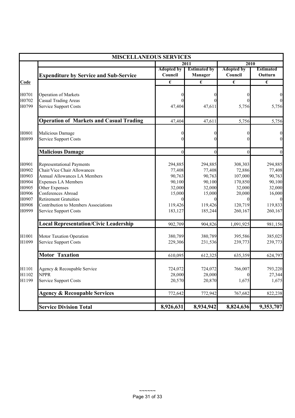|                | <b>MISCELLANEOUS SERVICES</b>                                               |                              |                                |                              |                             |
|----------------|-----------------------------------------------------------------------------|------------------------------|--------------------------------|------------------------------|-----------------------------|
|                |                                                                             | 2011                         |                                | 2010                         |                             |
|                | <b>Expenditure by Service and Sub-Service</b>                               | <b>Adopted by</b><br>Council | <b>Estimated by</b><br>Manager | <b>Adopted by</b><br>Council | <b>Estimated</b><br>Outturn |
| Code           |                                                                             | €                            | €                              | €                            | €                           |
|                |                                                                             |                              |                                |                              |                             |
| H0701          | <b>Operation of Markets</b>                                                 | 0                            | $\Omega$                       | 0                            | 0                           |
| H0702          | Casual Trading Areas                                                        |                              |                                |                              |                             |
| H0799          | <b>Service Support Costs</b>                                                | 47,404                       | 47,611                         | 5,756                        | 5,756                       |
|                | <b>Operation of Markets and Casual Trading</b>                              | 47,404                       | 47,611                         | 5,756                        | 5,756                       |
| H0801          | Malicious Damage                                                            | 0                            | $\theta$                       | 0                            | $\bf{0}$                    |
| H0899          | <b>Service Support Costs</b>                                                | $\overline{0}$               | 0                              | 0                            | $\theta$                    |
|                | <b>Malicious Damage</b>                                                     | $\mathbf{0}$                 | $\theta$                       | $\theta$                     | $\Omega$                    |
| H0901          | <b>Representational Payments</b>                                            | 294,885                      | 294,885                        | 308,303                      | 294,885                     |
| H0902          | Chair/Vice Chair Allowances                                                 | 77,408                       | 77,408                         | 72,886                       | 77,408                      |
| H0903          | <b>Annual Allowances LA Members</b>                                         | 90,763                       | 90,763                         | 107,000                      | 90,763                      |
| H0904          | <b>Expenses LA Members</b>                                                  | 90,100                       | 90,100                         | 170,850                      | 90,100                      |
| H0905          | Other Expenses                                                              | 32,000                       | 32,000                         | 32,000                       | 32,000                      |
| H0906          | Conferences Abroad                                                          | 15,000                       | 15,000                         | 20,000                       | 16,000                      |
| H0907<br>H0908 | <b>Retirement Gratuities</b><br><b>Contribution to Members Associations</b> | 119,426                      | 119,426                        | 120,719                      | 119,833                     |
| H0999          | <b>Service Support Costs</b>                                                | 183,127                      | 185,244                        | 260,167                      | 260,167                     |
|                |                                                                             |                              |                                |                              |                             |
|                | <b>Local Representation/Civic Leadership</b>                                | 902,709                      | 904,826                        | 1,091,925                    | 981,156                     |
| H1001          | Motor Taxation Operation                                                    | 380,789                      | 380,789                        | 395,586                      | 385,025                     |
| H1099          | <b>Service Support Costs</b>                                                | 229,306                      | 231,536                        | 239,773                      | 239,773                     |
|                | <b>Motor Taxation</b>                                                       | 610,095                      | 612,325                        | 635,359                      | 624,797                     |
|                |                                                                             |                              |                                |                              |                             |
| H1101<br>H1102 | Agency & Recoupable Service<br><b>NPPR</b>                                  | 724,072<br>28,000            | 724,072<br>28,000              | 766,007                      | 793,220<br>27,344           |
| H1199          | <b>Service Support Costs</b>                                                | 20,570                       | 20,870                         | 1,675                        | 1,675                       |
|                |                                                                             |                              |                                |                              |                             |
|                | <b>Agency &amp; Recoupable Services</b>                                     | 772,642                      | 772,942                        | 767,682                      | 822,238                     |
|                | <b>Service Division Total</b>                                               | 8,926,631                    | 8,934,942                      | 8,824,636                    | 9,353,707                   |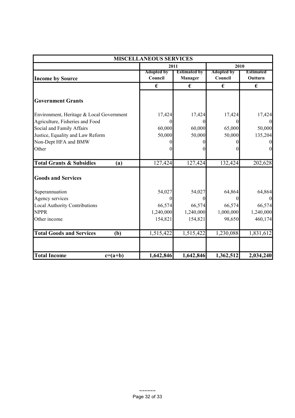| <b>MISCELLANEOUS SERVICES</b>              |                              |                                       |                              |                             |  |
|--------------------------------------------|------------------------------|---------------------------------------|------------------------------|-----------------------------|--|
|                                            |                              | 2011                                  |                              | 2010                        |  |
| <b>Income by Source</b>                    | <b>Adopted by</b><br>Council | <b>Estimated by</b><br><b>Manager</b> | <b>Adopted by</b><br>Council | <b>Estimated</b><br>Outturn |  |
|                                            | €                            | €                                     | €                            | €                           |  |
| <b>Government Grants</b>                   |                              |                                       |                              |                             |  |
| Environment, Heritage & Local Government   | 17,424                       | 17,424                                | 17,424                       | 17,424                      |  |
| Agriculture, Fisheries and Food            |                              | $\theta$                              | $\Omega$                     |                             |  |
| Social and Family Affairs                  | 60,000                       | 60,000                                | 65,000                       | 50,000                      |  |
| Justice, Equality and Law Reform           | 50,000                       | 50,000                                | 50,000                       | 135,204                     |  |
| Non-Dept HFA and BMW                       |                              |                                       |                              |                             |  |
| Other                                      |                              |                                       |                              | $\theta$                    |  |
| <b>Total Grants &amp; Subsidies</b><br>(a) | 127,424                      | 127,424                               | 132,424                      | 202,628                     |  |
| <b>Goods and Services</b>                  |                              |                                       |                              |                             |  |
| Superannuation                             | 54,027                       | 54,027                                | 64,864                       | 64,864                      |  |
| Agency services                            |                              | 0                                     | $\Omega$                     |                             |  |
| <b>Local Authority Contributions</b>       | 66,574                       | 66,574                                | 66,574                       | 66,574                      |  |
| <b>NPPR</b>                                | 1,240,000                    | 1,240,000                             | 1,000,000                    | 1,240,000                   |  |
| Other income                               | 154,821                      | 154,821                               | 98,650                       | 460,174                     |  |
| <b>Total Goods and Services</b><br>(b)     | 1,515,422                    | 1,515,422                             | 1,230,088                    | 1,831,612                   |  |
| <b>Total Income</b><br>$c=(a+b)$           | 1,642,846                    | 1,642,846                             | 1,362,512                    | 2,034,240                   |  |